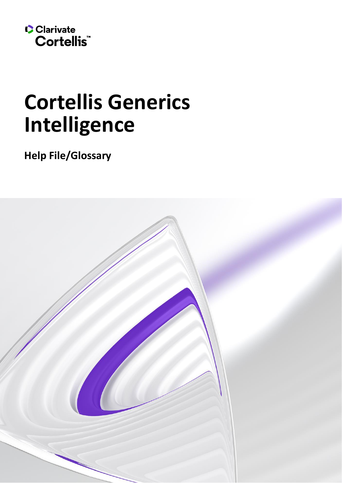

# **Cortellis Generics Intelligence**

**Help File/Glossary**

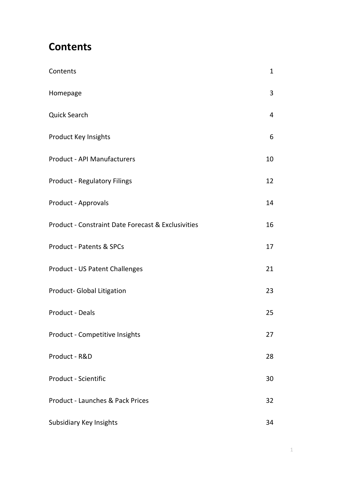## <span id="page-1-0"></span>**Contents**

| Contents                                                      | $\mathbf{1}$   |
|---------------------------------------------------------------|----------------|
| Homepage                                                      | 3              |
| Quick Search                                                  | $\overline{4}$ |
| <b>Product Key Insights</b>                                   | 6              |
| <b>Product - API Manufacturers</b>                            | 10             |
| <b>Product - Regulatory Filings</b>                           | 12             |
| Product - Approvals                                           | 14             |
| <b>Product - Constraint Date Forecast &amp; Exclusivities</b> | 16             |
| <b>Product - Patents &amp; SPCs</b>                           | 17             |
| Product - US Patent Challenges                                | 21             |
| Product- Global Litigation                                    | 23             |
| <b>Product - Deals</b>                                        | 25             |
| Product - Competitive Insights                                | 27             |
| Product - R&D                                                 | 28             |
| <b>Product - Scientific</b>                                   | 30             |
| <b>Product - Launches &amp; Pack Prices</b>                   | 32             |
| Subsidiary Key Insights                                       | 34             |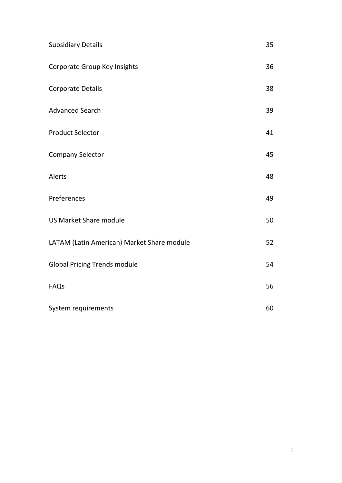| <b>Subsidiary Details</b>                  | 35 |
|--------------------------------------------|----|
| Corporate Group Key Insights               | 36 |
| <b>Corporate Details</b>                   | 38 |
| <b>Advanced Search</b>                     | 39 |
| <b>Product Selector</b>                    | 41 |
| <b>Company Selector</b>                    | 45 |
| Alerts                                     | 48 |
| Preferences                                | 49 |
| <b>US Market Share module</b>              | 50 |
| LATAM (Latin American) Market Share module | 52 |
| <b>Global Pricing Trends module</b>        | 54 |
| FAQs                                       | 56 |
| System requirements                        | 60 |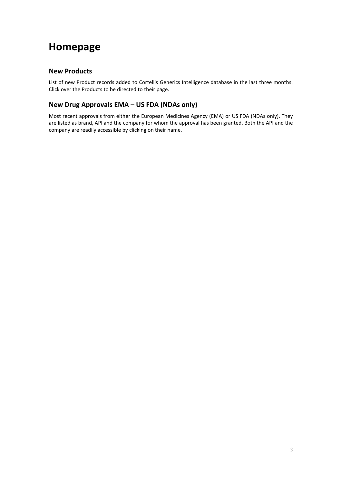## <span id="page-3-0"></span>**Homepage**

## **New Products**

List of new Product records added to Cortellis Generics Intelligence database in the last three months. Click over the Products to be directed to their page.

## **New Drug Approvals EMA – US FDA (NDAs only)**

Most recent approvals from either the European Medicines Agency (EMA) or US FDA (NDAs only). They are listed as brand, API and the company for whom the approval has been granted. Both the API and the company are readily accessible by clicking on their name.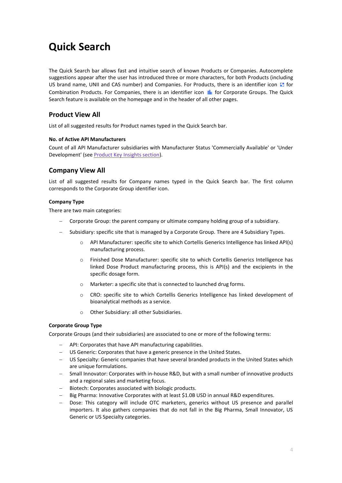## <span id="page-4-0"></span>**Quick Search**

The Quick Search bar allows fast and intuitive search of known Products or Companies. Autocomplete suggestions appear after the user has introduced three or more characters, for both Products (including US brand name, UNII and CAS number) and Companies. For Products, there is an identifier icon  $\blacksquare$  for Combination Products. For Companies, there is an identifier icon  $\mathbb{B}$  for Corporate Groups. The Quick Search feature is available on the homepage and in the header of all other pages.

## **Product View All**

List of all suggested results for Product names typed in the Quick Search bar.

#### **No. of Active API Manufacturers**

Count of all API Manufacturer subsidiaries with Manufacturer Status 'Commercially Available' or 'Under Development' (se[e Product Key Insights section\)](#page-6-0).

## **Company View All**

List of all suggested results for Company names typed in the Quick Search bar. The first column corresponds to the Corporate Group identifier icon.

#### <span id="page-4-2"></span>**Company Type**

There are two main categories:

- − Corporate Group: the parent company or ultimate company holding group of a subsidiary.
- Subsidiary: specific site that is managed by a Corporate Group. There are 4 Subsidiary Types.
	- o API Manufacturer: specific site to which Cortellis Generics Intelligence has linked API(s) manufacturing process.
	- o Finished Dose Manufacturer: specific site to which Cortellis Generics Intelligence has linked Dose Product manufacturing process, this is API(s) and the excipients in the specific dosage form.
	- o Marketer: a specific site that is connected to launched drug forms.
	- o CRO: specific site to which Cortellis Generics Intelligence has linked development of bioanalytical methods as a service.
	- o Other Subsidiary: all other Subsidiaries.

#### <span id="page-4-1"></span>**Corporate Group Type**

Corporate Groups (and their subsidiaries) are associated to one or more of the following terms:

- − API: Corporates that have API manufacturing capabilities.
- − US Generic: Corporates that have a generic presence in the United States.
- − US Specialty: Generic companies that have several branded products in the United States which are unique formulations.
- − Small Innovator: Corporates with in-house R&D, but with a small number of innovative products and a regional sales and marketing focus.
- − Biotech: Corporates associated with biologic products.
- − Big Pharma: Innovative Corporates with at least \$1.0B USD in annual R&D expenditures.
- Dose: This category will include OTC marketers, generics without US presence and parallel importers. It also gathers companies that do not fall in the Big Pharma, Small Innovator, US Generic or US Specialty categories.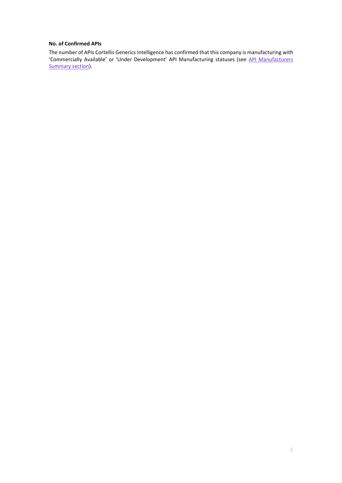#### <span id="page-5-0"></span>**No. of Confirmed APIs**

The number of APIs Cortellis Generics Intelligence has confirmed that this company is manufacturing with 'Commercially Available' or 'Under Development' API Manufacturing statuses (see API Manufacturers [Summary section\)](#page-7-0).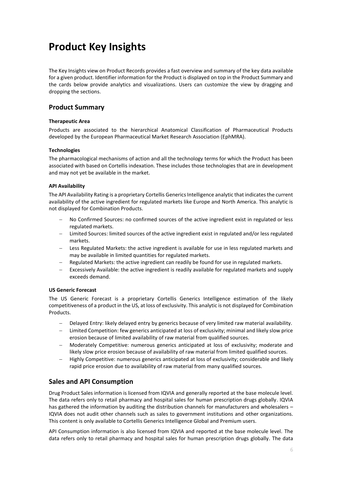## <span id="page-6-0"></span>**Product Key Insights**

The Key Insights view on Product Records provides a fast overview and summary of the key data available for a given product. Identifier information for the Product is displayed on top in the Product Summary and the cards below provide analytics and visualizations. Users can customize the view by dragging and dropping the sections.

## **Product Summary**

#### <span id="page-6-2"></span>**Therapeutic Area**

Products are associated to the hierarchical Anatomical Classification of Pharmaceutical Products developed by the European Pharmaceutical Market Research Association (EphMRA).

#### <span id="page-6-3"></span>**Technologies**

The pharmacological mechanisms of action and all the technology terms for which the Product has been associated with based on Cortellis indexation. These includes those technologies that are in development and may not yet be available in the market.

#### <span id="page-6-1"></span>**API Availability**

The API Availability Rating is a proprietary Cortellis Generics Intelligence analytic that indicates the current availability of the active ingredient for regulated markets like Europe and North America. This analytic is not displayed for Combination Products.

- No Confirmed Sources: no confirmed sources of the active ingredient exist in regulated or less regulated markets.
- − Limited Sources: limited sources of the active ingredient exist in regulated and/or less regulated markets.
- − Less Regulated Markets: the active ingredient is available for use in less regulated markets and may be available in limited quantities for regulated markets.
- − Regulated Markets: the active ingredient can readily be found for use in regulated markets.
- − Excessively Available: the active ingredient is readily available for regulated markets and supply exceeds demand.

#### **US Generic Forecast**

The US Generic Forecast is a proprietary Cortellis Generics Intelligence estimation of the likely competitiveness of a product in the US, at loss of exclusivity. This analytic is not displayed for Combination Products.

- Delayed Entry: likely delayed entry by generics because of very limited raw material availability.
- − Limited Competition: few generics anticipated at loss of exclusivity; minimal and likely slow price erosion because of limited availability of raw material from qualified sources.
- − Moderately Competitive: numerous generics anticipated at loss of exclusivity; moderate and likely slow price erosion because of availability of raw material from limited qualified sources.
- − Highly Competitive: numerous generics anticipated at loss of exclusivity; considerable and likely rapid price erosion due to availability of raw material from many qualified sources.

## **Sales and API Consumption**

Drug Product Sales information is licensed from IQVIA and generally reported at the base molecule level. The data refers only to retail pharmacy and hospital sales for human prescription drugs globally. IQVIA has gathered the information by auditing the distribution channels for manufacturers and wholesalers -IQVIA does not audit other channels such as sales to government institutions and other organizations. This content is only available to Cortellis Generics Intelligence Global and Premium users.

API Consumption information is also licensed from IQVIA and reported at the base molecule level. The data refers only to retail pharmacy and hospital sales for human prescription drugs globally. The data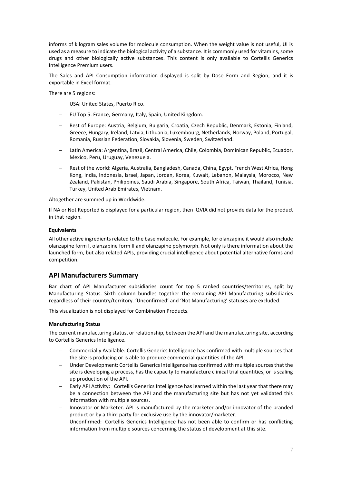informs of kilogram sales volume for molecule consumption. When the weight value is not useful, UI is used as a measure to indicate the biological activity of a substance. It is commonly used for vitamins, some drugs and other biologically active substances. This content is only available to Cortellis Generics Intelligence Premium users.

The Sales and API Consumption information displayed is split by Dose Form and Region, and it is exportable in Excel format.

There are 5 regions:

- − USA: United States, Puerto Rico.
- − EU Top 5: France, Germany, Italy, Spain, United Kingdom.
- − Rest of Europe: Austria, Belgium, Bulgaria, Croatia, Czech Republic, Denmark, Estonia, Finland, Greece, Hungary, Ireland, Latvia, Lithuania, Luxembourg, Netherlands, Norway, Poland, Portugal, Romania, Russian Federation, Slovakia, Slovenia, Sweden, Switzerland.
- − Latin America: Argentina, Brazil, Central America, Chile, Colombia, Dominican Republic, Ecuador, Mexico, Peru, Uruguay, Venezuela.
- − Rest of the world: Algeria, Australia, Bangladesh, Canada, China, Egypt, French West Africa, Hong Kong, India, Indonesia, Israel, Japan, Jordan, Korea, Kuwait, Lebanon, Malaysia, Morocco, New Zealand, Pakistan, Philippines, Saudi Arabia, Singapore, South Africa, Taiwan, Thailand, Tunisia, Turkey, United Arab Emirates, Vietnam.

Altogether are summed up in Worldwide.

If NA or Not Reported is displayed for a particular region, then IQVIA did not provide data for the product in that region.

#### **Equivalents**

All other active ingredients related to the base molecule. For example, for olanzapine it would also include olanzapine form I, olanzapine form II and olanzapine polymorph. Not only is there information about the launched form, but also related APIs, providing crucial intelligence about potential alternative forms and competition.

### <span id="page-7-0"></span>**API Manufacturers Summary**

Bar chart of API Manufacturer subsidiaries count for top 5 ranked countries/territories, split by Manufacturing Status. Sixth column bundles together the remaining API Manufacturing subsidiaries regardless of their country/territory. 'Unconfirmed' and 'Not Manufacturing' statuses are excluded.

This visualization is not displayed for Combination Products.

#### <span id="page-7-1"></span>**Manufacturing Status**

The current manufacturing status, or relationship, between the API and the manufacturing site, according to Cortellis Generics Intelligence. 

- − Commercially Available: Cortellis Generics Intelligence has confirmed with multiple sources that the site is producing or is able to produce commercial quantities of the API.
- − Under Development: Cortellis Generics Intelligence has confirmed with multiple sources that the site is developing a process, has the capacity to manufacture clinical trial quantities, or is scaling up production of the API.
- − Early API Activity:   Cortellis Generics Intelligence has learned within the last year that there may be a connection between the API and the manufacturing site but has not yet validated this information with multiple sources.
- − Innovator or Marketer: API is manufactured by the marketer and/or innovator of the branded product or by a third party for exclusive use by the innovator/marketer.
- Unconfirmed: Cortellis Generics Intelligence has not been able to confirm or has conflicting information from multiple sources concerning the status of development at this site.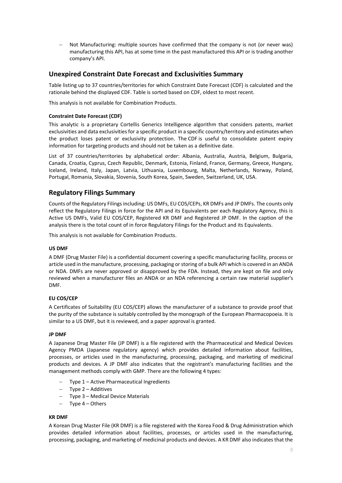− Not Manufacturing: multiple sources have confirmed that the company is not (or never was) manufacturing this API, has at some time in the past manufactured this API or is trading another company's API.

## <span id="page-8-1"></span>**Unexpired Constraint Date Forecast and Exclusivities Summary**

Table listing up to 37 countries/territories for which Constraint Date Forecast (CDF) is calculated and the rationale behind the displayed CDF. Table is sorted based on CDF, oldest to most recent.

This analysis is not available for Combination Products.

#### <span id="page-8-2"></span>**Constraint Date Forecast (CDF)**

This analytic is a proprietary Cortellis Generics Intelligence algorithm that considers patents, market exclusivities and data exclusivities for a specific product in a specific country/territory and estimates when the product loses patent or exclusivity protection. The CDF is useful to consolidate patent expiry information for targeting products and should not be taken as a definitive date.

List of 37 countries/territories by alphabetical order: Albania, Australia, Austria, Belgium, Bulgaria, Canada, Croatia, Cyprus, Czech Republic, Denmark, Estonia, Finland, France, Germany, Greece, Hungary, Iceland, Ireland, Italy, Japan, Latvia, Lithuania, Luxembourg, Malta, Netherlands, Norway, Poland, Portugal, Romania, Slovakia, Slovenia, South Korea, Spain, Sweden, Switzerland, UK, USA.

## <span id="page-8-0"></span>**Regulatory Filings Summary**

Counts of the Regulatory Filings including: US DMFs, EU COS/CEPs, KR DMFs and JP DMFs. The counts only reflect the Regulatory Filings in force for the API and its Equivalents per each Regulatory Agency, this is Active US DMFs, Valid EU COS/CEP, Registered KR DMF and Registered JP DMF. In the caption of the analysis there is the total count of in force Regulatory Filings for the Product and its Equivalents.

This analysis is not available for Combination Products.

#### **US DMF**

A DMF (Drug Master File) is a confidential document covering a specific manufacturing facility, process or article used in the manufacture, processing, packaging or storing of a bulk API which is covered in an ANDA or NDA. DMFs are never approved or disapproved by the FDA. Instead, they are kept on file and only reviewed when a manufacturer files an ANDA or an NDA referencing a certain raw material supplier's DMF.

#### **EU COS/CEP**

A Certificates of Suitability (EU COS/CEP) allows the manufacturer of a substance to provide proof that the purity of the substance is suitably controlled by the monograph of the European Pharmacopoeia. It is similar to a US DMF, but it is reviewed, and a paper approval is granted.

#### **JP DMF**

A Japanese Drug Master File (JP DMF) is a file registered with the Pharmaceutical and Medical Devices Agency PMDA (Japanese regulatory agency) which provides detailed information about facilities, processes, or articles used in the manufacturing, processing, packaging, and marketing of medicinal products and devices. A JP DMF also indicates that the registrant's manufacturing facilities and the management methods comply with GMP. There are the following 4 types:

- − Type 1 Active Pharmaceutical Ingredients
- − Type 2 Additives
- − Type 3 Medical Device Materials
- − Type 4 Others

#### **KR DMF**

A Korean Drug Master File (KR DMF) is a file registered with the Korea Food & Drug Administration which provides detailed information about facilities, processes, or articles used in the manufacturing, processing, packaging, and marketing of medicinal products and devices. A KR DMF also indicates that the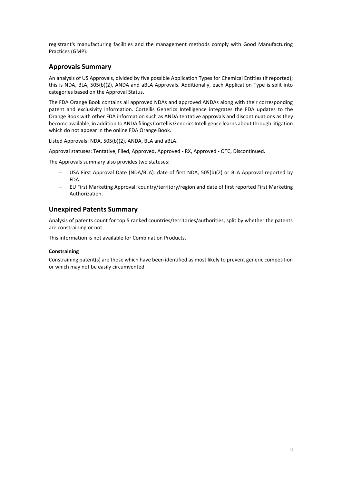registrant's manufacturing facilities and the management methods comply with Good Manufacturing Practices (GMP).

## <span id="page-9-0"></span>**Approvals Summary**

An analysis of US Approvals, divided by five possible Application Types for Chemical Entities (if reported); this is NDA, BLA, 505(b)(2), ANDA and aBLA Approvals. Additionally, each Application Type is split into categories based on the Approval Status.

The FDA Orange Book contains all approved NDAs and approved ANDAs along with their corresponding patent and exclusivity information. Cortellis Generics Intelligence integrates the FDA updates to the Orange Book with other FDA information such as ANDA tentative approvals and discontinuations as they become available, in addition to ANDA filings Cortellis Generics Intelligence learns about through litigation which do not appear in the online FDA Orange Book.

Listed Approvals: NDA, 505(b)(2), ANDA, BLA and aBLA.

Approval statuses: Tentative, Filed, Approved, Approved - RX, Approved - OTC, Discontinued.

The Approvals summary also provides two statuses:

- − USA First Approval Date (NDA/BLA): date of first NDA, 505(b)(2) or BLA Approval reported by FDA.
- − EU First Marketing Approval: country/territory/region and date of first reported First Marketing Authorization.

## **Unexpired Patents Summary**

Analysis of patents count for top 5 ranked countries/territories/authorities, split by whether the patents are constraining or not.

This information is not available for Combination Products.

#### **Constraining**

Constraining patent(s) are those which have been identified as most likely to prevent generic competition or which may not be easily circumvented.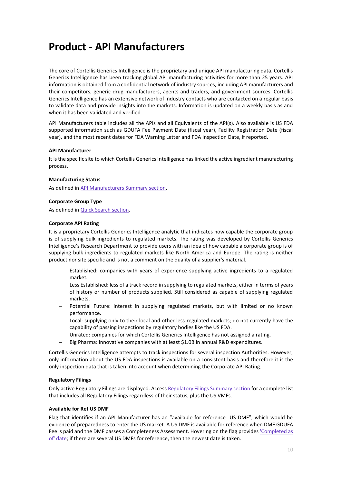## <span id="page-10-0"></span>**Product - API Manufacturers**

The core of Cortellis Generics Intelligence is the proprietary and unique API manufacturing data. Cortellis Generics Intelligence has been tracking global API manufacturing activities for more than 25 years. API information is obtained from a confidential network of industry sources, including API manufacturers and their competitors, generic drug manufacturers, agents and traders, and government sources. Cortellis Generics Intelligence has an extensive network of industry contacts who are contacted on a regular basis to validate data and provide insights into the markets. Information is updated on a weekly basis as and when it has been validated and verified.

API Manufacturers table includes all the APIs and all Equivalents of the API(s). Also available is US FDA supported information such as GDUFA Fee Payment Date (fiscal year), Facility Registration Date (fiscal year), and the most recent dates for FDA Warning Letter and FDA Inspection Date, if reported.

#### **API Manufacturer**

It is the specific site to which Cortellis Generics Intelligence has linked the active ingredient manufacturing process.

#### **Manufacturing Status**

As defined in [API Manufacturers Summary](#page-7-1) section.

#### <span id="page-10-1"></span>**Corporate Group Type**

As defined in [Quick Search section.](#page-4-1)

#### **Corporate API Rating**

It is a proprietary Cortellis Generics Intelligence analytic that indicates how capable the corporate group is of supplying bulk ingredients to regulated markets. The rating was developed by Cortellis Generics Intelligence's Research Department to provide users with an idea of how capable a corporate group is of supplying bulk ingredients to regulated markets like North America and Europe. The rating is neither product nor site specific and is not a comment on the quality of a supplier's material.

- − Established: companies with years of experience supplying active ingredients to a regulated market.
- − Less Established: less of a track record in supplying to regulated markets, either in terms of years of history or number of products supplied. Still considered as capable of supplying regulated markets.
- − Potential Future: interest in supplying regulated markets, but with limited or no known performance.
- − Local: supplying only to their local and other less-regulated markets; do not currently have the capability of passing inspections by regulatory bodies like the US FDA.
- − Unrated: companies for which Cortellis Generics Intelligence has not assigned a rating.
- − Big Pharma: innovative companies with at least \$1.0B in annual R&D expenditures.

Cortellis Generics Intelligence attempts to track inspections for several inspection Authorities. However, only information about the US FDA inspections is available on a consistent basis and therefore it is the only inspection data that is taken into account when determining the Corporate API Rating.

#### **Regulatory Filings**

Only active Regulatory Filings are displayed. Acces[s Regulatory Filings Summary](#page-8-0) section for a complete list that includes all Regulatory Filings regardless of their status, plus the US VMFs.

#### **Available for Ref US DMF**

Flag that identifies if an API Manufacturer has an "available for reference US DMF", which would be evidence of preparedness to enter the US market. A US DMF is available for reference when DMF GDUFA Fee is paid and the DMF passes a Completeness Assessment. Hovering on the flag provide[s 'Completed as](#page-13-0)  [of' date;](#page-13-0) if there are several US DMFs for reference, then the newest date is taken.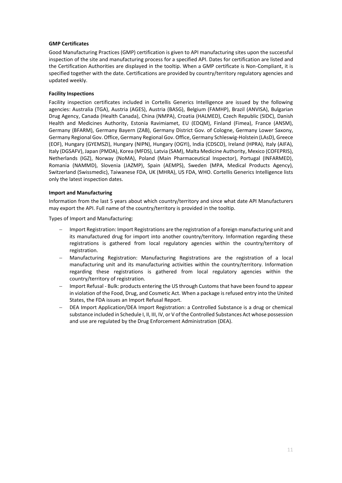#### **GMP Certificates**

Good Manufacturing Practices (GMP) certification is given to API manufacturing sites upon the successful inspection of the site and manufacturing process for a specified API. Dates for certification are listed and the Certification Authorities are displayed in the tooltip. When a GMP certificate is Non-Compliant, it is specified together with the date. Certifications are provided by country/territory regulatory agencies and updated weekly.

#### <span id="page-11-0"></span>**Facility Inspections**

Facility inspection certificates included in Cortellis Generics Intelligence are issued by the following agencies: Australia (TGA), Austria (AGES), Austria (BASG), Belgium (FAMHP), Brazil (ANVISA), Bulgarian Drug Agency, Canada (Health Canada), China (NMPA), Croatia (HALMED), Czech Republic (SIDC), Danish Health and Medicines Authority, Estonia Ravimiamet, EU (EDQM), Finland (Fimea), France (ANSM), Germany (BFARM), Germany Bayern (ZAB), Germany District Gov. of Cologne, Germany Lower Saxony, Germany Regional Gov. Office, Germany Regional Gov. Office, Germany Schleswig-Holstein (LAsD), Greece (EOF), Hungary (GYEMSZI), Hungary (NIPN), Hungary (OGYI), India (CDSCO), Ireland (HPRA), Italy (AIFA), Italy (DGSAFV), Japan (PMDA), Korea (MFDS), Latvia (SAM), Malta Medicine Authority, Mexico (COFEPRIS), Netherlands (IGZ), Norway (NoMA), Poland (Main Pharmaceutical Inspector), Portugal (INFARMED), Romania (NAMMD), Slovenia (JAZMP), Spain (AEMPS), Sweden (MPA, Medical Products Agency), Switzerland (Swissmedic), Taiwanese FDA, UK (MHRA), US FDA, WHO. Cortellis Generics Intelligence lists only the latest inspection dates. 

#### **Import and Manufacturing**

Information from the last 5 years about which country/territory and since what date API Manufacturers may export the API. Full name of the country/territory is provided in the tooltip.

Types of Import and Manufacturing:

- − Import Registration: Import Registrations are the registration of a foreign manufacturing unit and its manufactured drug for import into another country/territory. Information regarding these registrations is gathered from local regulatory agencies within the country/territory of registration.
- − Manufacturing Registration: Manufacturing Registrations are the registration of a local manufacturing unit and its manufacturing activities within the country/territory. Information regarding these registrations is gathered from local regulatory agencies within the country/territory of registration.
- − Import Refusal Bulk: products entering the US through Customs that have been found to appear in violation of the Food, Drug, and Cosmetic Act. When a package is refused entry into the United States, the FDA issues an Import Refusal Report.
- − DEA Import Application/DEA Import Registration: a Controlled Substance is a drug or chemical substance included in Schedule I, II, III, IV, or V of the Controlled Substances Act whose possession and use are regulated by the Drug Enforcement Administration (DEA).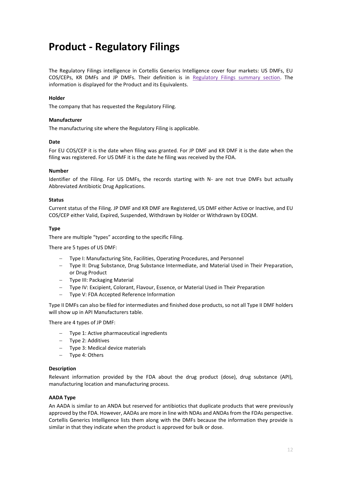## <span id="page-12-0"></span>**Product - Regulatory Filings**

The Regulatory Filings intelligence in Cortellis Generics Intelligence cover four markets: US DMFs, EU COS/CEPs, KR DMFs and JP DMFs. Their definition is in [Regulatory Filings](#page-8-0) summary section. The information is displayed for the Product and its Equivalents.

#### **Holder**

The company that has requested the Regulatory Filing.

#### **Manufacturer**

The manufacturing site where the Regulatory Filing is applicable.

#### **Date**

For EU COS/CEP it is the date when filing was granted. For JP DMF and KR DMF it is the date when the filing was registered. For US DMF it is the date he filing was received by the FDA.

#### **Number**

Identifier of the Filing. For US DMFs, the records starting with N- are not true DMFs but actually Abbreviated Antibiotic Drug Applications.

#### **Status**

Current status of the Filing. JP DMF and KR DMF are Registered, US DMF either Active or Inactive, and EU COS/CEP either Valid, Expired, Suspended, Withdrawn by Holder or Withdrawn by EDQM.

#### **Type**

There are multiple "types" according to the specific Filing.

There are 5 types of US DMF:

- − Type I: Manufacturing Site, Facilities, Operating Procedures, and Personnel
- − Type II: Drug Substance, Drug Substance Intermediate, and Material Used in Their Preparation, or Drug Product
- − Type III: Packaging Material
- − Type IV: Excipient, Colorant, Flavour, Essence, or Material Used in Their Preparation
- − Type V: FDA Accepted Reference Information

Type II DMFs can also be filed for intermediates and finished dose products, so not all Type II DMF holders will show up in API Manufacturers table.

There are 4 types of JP DMF: 

- − Type 1: Active pharmaceutical ingredients
- − Type 2: Additives
- − Type 3: Medical device materials
- − Type 4: Others

#### **Description**

Relevant information provided by the FDA about the drug product (dose), drug substance (API), manufacturing location and manufacturing process.

#### **AADA Type**

An AADA is similar to an ANDA but reserved for antibiotics that duplicate products that were previously approved by the FDA. However, AADAs are more in line with NDAs and ANDAs from the FDAs perspective. Cortellis Generics Intelligence lists them along with the DMFs because the information they provide is similar in that they indicate when the product is approved for bulk or dose.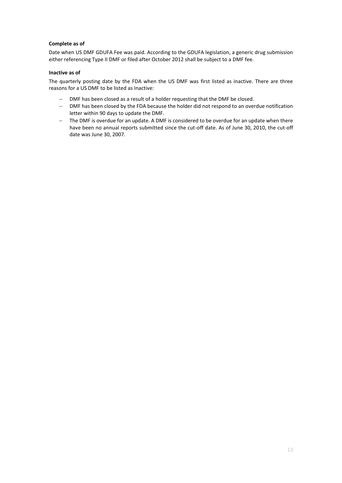#### <span id="page-13-0"></span>**Complete as of**

Date when US DMF GDUFA Fee was paid. According to the GDUFA legislation, a generic drug submission either referencing Type II DMF or filed after October 2012 shall be subject to a DMF fee.

#### **Inactive as of**

The quarterly posting date by the FDA when the US DMF was first listed as inactive. There are three reasons for a US DMF to be listed as Inactive:

- − DMF has been closed as a result of a holder requesting that the DMF be closed.
- − DMF has been closed by the FDA because the holder did not respond to an overdue notification letter within 90 days to update the DMF.
- − The DMF is overdue for an update. A DMF is considered to be overdue for an update when there have been no annual reports submitted since the cut-off date. As of June 30, 2010, the cut-off date was June 30, 2007.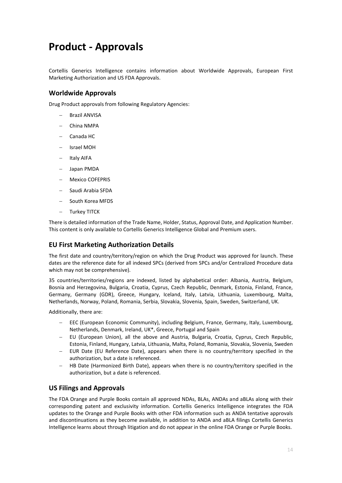## <span id="page-14-0"></span>**Product - Approvals**

Cortellis Generics Intelligence contains information about Worldwide Approvals, European First Marketing Authorization and US FDA Approvals.

## **Worldwide Approvals**

Drug Product approvals from following Regulatory Agencies:

- − Brazil ANVISA
- − China NMPA
- − Canada HC
- − Israel MOH
- − Italy AIFA
- − Japan PMDA
- − Mexico COFEPRIS
- − Saudi Arabia SFDA
- − South Korea MFDS
- − Turkey TITCK

There is detailed information of the Trade Name, Holder, Status, Approval Date, and Application Number. This content is only available to Cortellis Generics Intelligence Global and Premium users.

## **EU First Marketing Authorization Details**

The first date and country/territory/region on which the Drug Product was approved for launch. These dates are the reference date for all indexed SPCs (derived from SPCs and/or Centralized Procedure data which may not be comprehensive).

35 countries/territories/regions are indexed, listed by alphabetical order: Albania, Austria, Belgium, Bosnia and Herzegovina, Bulgaria, Croatia, Cyprus, Czech Republic, Denmark, Estonia, Finland, France, Germany, Germany (GDR), Greece, Hungary, Iceland, Italy, Latvia, Lithuania, Luxembourg, Malta, Netherlands, Norway, Poland, Romania, Serbia, Slovakia, Slovenia, Spain, Sweden, Switzerland, UK.

Additionally, there are:

- − EEC (European Economic Community), including Belgium, France, Germany, Italy, Luxembourg, Netherlands, Denmark, Ireland, UK\*, Greece, Portugal and Spain
- − EU (European Union), all the above and Austria, Bulgaria, Croatia, Cyprus, Czech Republic, Estonia, Finland, Hungary, Latvia, Lithuania, Malta, Poland, Romania, Slovakia, Slovenia, Sweden
- − EUR Date (EU Reference Date), appears when there is no country/territory specified in the authorization, but a date is referenced.
- HB Date (Harmonized Birth Date), appears when there is no country/territory specified in the authorization, but a date is referenced.

### **US Filings and Approvals**

The FDA Orange and Purple Books contain all approved NDAs, BLAs, ANDAs and aBLAs along with their corresponding patent and exclusivity information. Cortellis Generics Intelligence integrates the FDA updates to the Orange and Purple Books with other FDA information such as ANDA tentative approvals and discontinuations as they become available, in addition to ANDA and aBLA filings Cortellis Generics Intelligence learns about through litigation and do not appear in the online FDA Orange or Purple Books.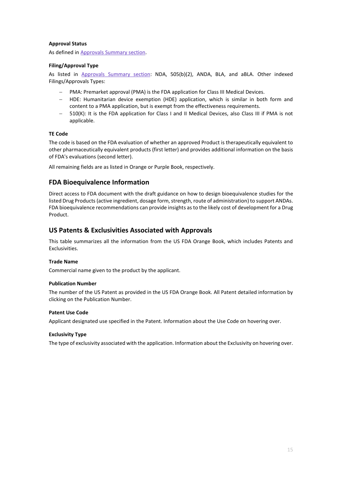#### **Approval Status**

As defined in Approvals [Summary section.](#page-9-0)

#### **Filing/Approval Type**

As listed in [Approvals Summary section:](#page-9-0) NDA, 505(b)(2), ANDA, BLA, and aBLA. Other indexed Filings/Approvals Types:

- − PMA: Premarket approval (PMA) is the FDA application for Class III Medical Devices.
- − HDE: Humanitarian device exemption (HDE) application, which is similar in both form and content to a PMA application, but is exempt from the effectiveness requirements.
- − 510(K): It is the FDA application for Class I and II Medical Devices, also Class III if PMA is not applicable.

#### **TE Code**

The code is based on the FDA evaluation of whether an approved Product is therapeutically equivalent to other pharmaceutically equivalent products (first letter) and provides additional information on the basis of FDA's evaluations (second letter).

All remaining fields are as listed in Orange or Purple Book, respectively.

### **FDA Bioequivalence Information**

Direct access to FDA document with the draft guidance on how to design bioequivalence studies for the listed Drug Products (active ingredient, dosage form, strength, route of administration) to support ANDAs. FDA bioequivalence recommendations can provide insights as to the likely cost of development for a Drug Product.

### **US Patents & Exclusivities Associated with Approvals**

This table summarizes all the information from the US FDA Orange Book, which includes Patents and Exclusivities.

#### **Trade Name**

Commercial name given to the product by the applicant.

#### **Publication Number**

The number of the US Patent as provided in the US FDA Orange Book. All Patent detailed information by clicking on the Publication Number.

#### **Patent Use Code**

Applicant designated use specified in the Patent. Information about the Use Code on hovering over.

#### **Exclusivity Type**

The type of exclusivity associated with the application. Information about the Exclusivity on hovering over.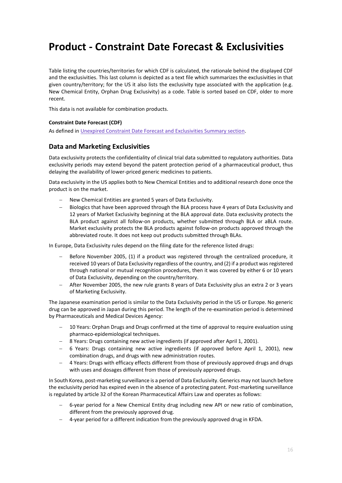## <span id="page-16-0"></span>**Product - Constraint Date Forecast & Exclusivities**

Table listing the countries/territories for which CDF is calculated, the rationale behind the displayed CDF and the exclusivities. This last column is depicted as a text file which summarizes the exclusivities in that given country/territory; for the US it also lists the exclusivity type associated with the application (e.g. New Chemical Entity, Orphan Drug Exclusivity) as a code. Table is sorted based on CDF, older to more recent.

This data is not available for combination products.

#### **Constraint Date Forecast (CDF)**

As defined in [Unexpired Constraint Date Forecast and Exclusivities Summary section.](#page-8-1)

## **Data and Marketing Exclusivities**

Data exclusivity protects the confidentiality of clinical trial data submitted to regulatory authorities. Data exclusivity periods may extend beyond the patent protection period of a pharmaceutical product, thus delaying the availability of lower-priced generic medicines to patients.

Data exclusivity in the US applies both to New Chemical Entities and to additional research done once the product is on the market.

- − New Chemical Entities are granted 5 years of Data Exclusivity.
- Biologics that have been approved through the BLA process have 4 years of Data Exclusivity and 12 years of Market Exclusivity beginning at the BLA approval date. Data exclusivity protects the BLA product against all follow-on products, whether submitted through BLA or aBLA route. Market exclusivity protects the BLA products against follow-on products approved through the abbreviated route. It does not keep out products submitted through BLAs.

In Europe, Data Exclusivity rules depend on the filing date for the reference listed drugs:

- Before November 2005, (1) if a product was registered through the centralized procedure, it received 10 years of Data Exclusivity regardless of the country, and (2) if a product was registered through national or mutual recognition procedures, then it was covered by either 6 or 10 years of Data Exclusivity, depending on the country/territory.
- − After November 2005, the new rule grants 8 years of Data Exclusivity plus an extra 2 or 3 years of Marketing Exclusivity.

The Japanese examination period is similar to the Data Exclusivity period in the US or Europe. No generic drug can be approved in Japan during this period. The length of the re-examination period is determined by Pharmaceuticals and Medical Devices Agency:

- 10 Years: Orphan Drugs and Drugs confirmed at the time of approval to require evaluation using pharmaco-epidemiological techniques.
- − 8 Years: Drugs containing new active ingredients (if approved after April 1, 2001).
- − 6 Years: Drugs containing new active ingredients (if approved before April 1, 2001), new combination drugs, and drugs with new administration routes.
- − 4 Years: Drugs with efficacy effects different from those of previously approved drugs and drugs with uses and dosages different from those of previously approved drugs.

In South Korea, post-marketing surveillance is a period of Data Exclusivity. Generics may not launch before the exclusivity period has expired even in the absence of a protecting patent. Post-marketing surveillance is regulated by article 32 of the Korean Pharmaceutical Affairs Law and operates as follows:

- − 6-year period for a New Chemical Entity drug including new API or new ratio of combination, different from the previously approved drug.
- 4-year period for a different indication from the previously approved drug in KFDA.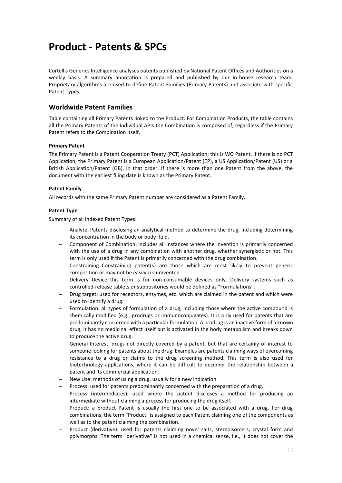## <span id="page-17-0"></span>**Product - Patents & SPCs**

Cortellis Generics Intelligence analyses patents published by National Patent Offices and Authorities on a weekly basis. A summary annotation is prepared and published by our in-house research team. Proprietary algorithms are used to define Patent Families (Primary Patents) and associate with specific Patent Types. 

## **Worldwide Patent Families**

Table containing all Primary Patents linked to the Product. For Combination Products, the table contains all the Primary Patents of the individual APIs the Combination is composed of, regardless if the Primary Patent refers to the Combination itself.

#### **Primary Patent**

The Primary Patent is a Patent Cooperation Treaty (PCT) Application; this is WO Patent. If there is no PCT Application, the Primary Patent is a European Application/Patent (EP), a US Application/Patent (US) or a British Application/Patent (GB), in that order. If there is more than one Patent from the above, the document with the earliest filing date is known as the Primary Patent.

#### **Patent Family**

All records with the same Primary Patent number are considered as a Patent Family.  

#### **Patent Type**

Summary of all indexed Patent Types:

- − Analyte: Patents disclosing an analytical method to determine the drug, including determining its concentration in the body or body fluid.
- − Component of Combination: includes all instances where the invention is primarily concerned with the use of a drug in any combination with another drug, whether synergistic or not. This term is only used if the Patent is primarily concerned with the drug combination.
- − Constraining: Constraining patent(s) are those which are most likely to prevent generic competition or may not be easily circumvented.
- − Delivery Device: this term is for non-consumable devices only. Delivery systems such as controlled-release tablets or suppositories would be defined as "Formulations".
- − Drug target: used for receptors, enzymes, etc. which are claimed in the patent and which were used to identify a drug.
- Formulation: all types of formulation of a drug, including those where the active compound is chemically modified (e.g., prodrugs or immunoconjugates). It is only used for patents that are predominantly concerned with a particular formulation. A prodrug is an inactive form of a known drug; it has no medicinal effect itself but is activated in the body metabolism and breaks down to produce the active drug.
- General Interest: drugs not directly covered by a patent, but that are certainly of interest to someone looking for patents about the drug. Examples are patents claiming ways of overcoming resistance to a drug or claims to the drug screening method. This term is also used for biotechnology applications, where it can be difficult to decipher the relationship between a patent and its commercial application.
- New Use: methods of using a drug, usually for a new indication.
- − Process: used for patents predominantly concerned with the preparation of a drug.
- − Process (intermediates): used where the patent discloses a method for producing an intermediate without claiming a process for producing the drug itself.
- Product: a product Patent is usually the first one to be associated with a drug. For drug combinations, the term "Product" is assigned to each Patent claiming one of the components as well as to the patent claiming the combination.
- Product (derivative): used for patents claiming novel salts, stereoisomers, crystal form and polymorphs. The term "derivative" is not used in a chemical sense, i.e., it does not cover the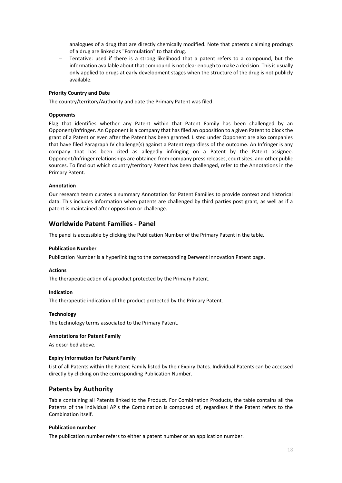analogues of a drug that are directly chemically modified. Note that patents claiming prodrugs of a drug are linked as "Formulation" to that drug.

− Tentative: used if there is a strong likelihood that a patent refers to a compound, but the information available about that compound is not clear enough to make a decision. This is usually only applied to drugs at early development stages when the structure of the drug is not publicly available.

#### **Priority Country and Date**

The country/territory/Authority and date the Primary Patent was filed.

#### **Opponents**

Flag that identifies whether any Patent within that Patent Family has been challenged by an Opponent/Infringer. An Opponent is a company that has filed an opposition to a given Patent to block the grant of a Patent or even after the Patent has been granted. Listed under Opponent are also companies that have filed Paragraph IV challenge(s) against a Patent regardless of the outcome. An Infringer is any company that has been cited as allegedly infringing on a Patent by the Patent assignee. Opponent/Infringer relationships are obtained from company press releases, court sites, and other public sources. To find out which country/territory Patent has been challenged, refer to the Annotations in the Primary Patent.

#### **Annotation**

Our research team curates a summary Annotation for Patent Families to provide context and historical data. This includes information when patents are challenged by third parties post grant, as well as if a patent is maintained after opposition or challenge.

### <span id="page-18-0"></span>**Worldwide Patent Families - Panel**

The panel is accessible by clicking the Publication Number of the Primary Patent in the table.

#### **Publication Number**

Publication Number is a hyperlink tag to the corresponding Derwent Innovation Patent page.

#### **Actions**

The therapeutic action of a product protected by the Primary Patent.

#### **Indication**

The therapeutic indication of the product protected by the Primary Patent.

#### **Technology**

The technology terms associated to the Primary Patent.

#### **Annotations for Patent Family**

As described above.

#### **Expiry Information for Patent Family**

List of all Patents within the Patent Family listed by their Expiry Dates. Individual Patents can be accessed directly by clicking on the corresponding Publication Number.

### **Patents by Authority**

Table containing all Patents linked to the Product. For Combination Products, the table contains all the Patents of the individual APIs the Combination is composed of, regardless if the Patent refers to the Combination itself.

#### **Publication number**

The publication number refers to either a patent number or an application number.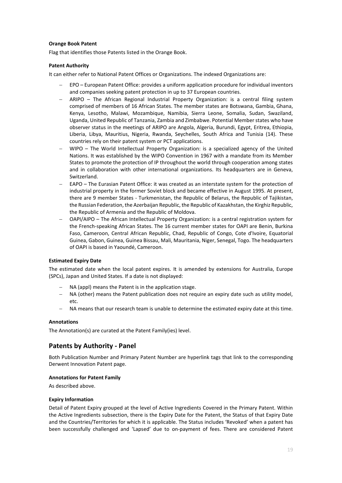#### **Orange Book Patent**

Flag that identifies those Patents listed in the Orange Book.

#### **Patent Authority**

It can either refer to National Patent Offices or Organizations. The indexed Organizations are:

- − EPO European Patent Office: provides a uniform application procedure for individual inventors and companies seeking patent protection in up to 37 European countries.
- − ARIPO The African Regional Industrial Property Organization: is a central filing system comprised of members of 16 African States. The member states are Botswana, Gambia, Ghana, Kenya, Lesotho, Malawi, Mozambique, Namibia, Sierra Leone, Somalia, Sudan, Swaziland, Uganda, United Republic of Tanzania, Zambia and Zimbabwe. Potential Member states who have observer status in the meetings of ARIPO are Angola, Algeria, Burundi, Egypt, Eritrea, Ethiopia, Liberia, Libya, Mauritius, Nigeria, Rwanda, Seychelles, South Africa and Tunisia (14). These countries rely on their patent system or PCT applications.
- − WIPO The World Intellectual Property Organization: is a specialized agency of the United Nations. It was established by the WIPO Convention in 1967 with a mandate from its Member States to promote the protection of IP throughout the world through cooperation among states and in collaboration with other international organizations. Its headquarters are in Geneva, Switzerland.
- − EAPO The Eurasian Patent Office: it was created as an interstate system for the protection of industrial property in the former Soviet block and became effective in August 1995. At present, there are 9 member States - Turkmenistan, the Republic of Belarus, the Republic of Tajikistan, the Russian Federation, the Azerbaijan Republic, the Republic of Kazakhstan, the Kirghiz Republic, the Republic of Armenia and the Republic of Moldova.
- − OAPI/AIPO The African Intellectual Property Organization: is a central registration system for the French-speaking African States. The 16 current member states for OAPI are Benin, Burkina Faso, Cameroon, Central African Republic, Chad, Republic of Congo, Cote d'Ivoire, Equatorial Guinea, Gabon, Guinea, Guinea Bissau, Mali, Mauritania, Niger, Senegal, Togo. The headquarters of OAPI is based in Yaoundé, Cameroon.

#### **Estimated Expiry Date**

The estimated date when the local patent expires. It is amended by extensions for Australia, Europe (SPCs), Japan and United States. If a date is not displayed:

- − NA (appl) means the Patent is in the application stage.
- − NA (other) means the Patent publication does not require an expiry date such as utility model, etc.
- NA means that our research team is unable to determine the estimated expiry date at this time.

#### **Annotations**

The Annotation(s) are curated at the Patent Family(ies) level.

### **Patents by Authority - Panel**

Both Publication Number and Primary Patent Number are hyperlink tags that link to the corresponding Derwent Innovation Patent page.

#### **Annotations for Patent Family**

As described above.

#### **Expiry Information**

Detail of Patent Expiry grouped at the level of Active Ingredients Covered in the Primary Patent. Within the Active Ingredients subsection, there is the Expiry Date for the Patent, the Status of that Expiry Date and the Countries/Territories for which it is applicable. The Status includes 'Revoked' when a patent has been successfully challenged and 'Lapsed' due to on-payment of fees. There are considered Patent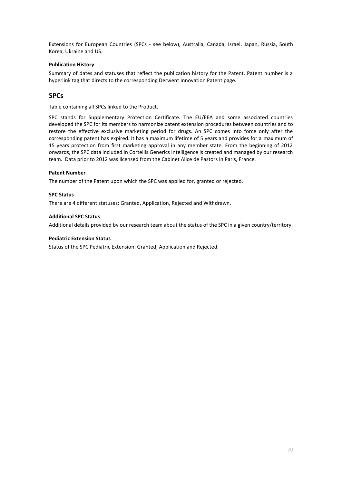Extensions for European Countries (SPCs - see below), Australia, Canada, Israel, Japan, Russia, South Korea, Ukraine and US.

#### **Publication History**

Summary of dates and statuses that reflect the publication history for the Patent. Patent number is a hyperlink tag that directs to the corresponding Derwent Innovation Patent page.

### **SPCs**

Table containing all SPCs linked to the Product.

SPC stands for Supplementary Protection Certificate. The EU/EEA and some associated countries developed the SPC for its members to harmonize patent extension procedures between countries and to restore the effective exclusive marketing period for drugs. An SPC comes into force only after the corresponding patent has expired. It has a maximum lifetime of 5 years and provides for a maximum of 15 years protection from first marketing approval in any member state. From the beginning of 2012 onwards, the SPC data included in Cortellis Generics Intelligence is created and managed by our research team. Data prior to 2012 was licensed from the Cabinet Alice de Pastors in Paris, France.

#### **Patent Number**

The number of the Patent upon which the SPC was applied for, granted or rejected.

#### **SPC Status**

There are 4 different statuses: Granted, Application, Rejected and Withdrawn.

#### **Additional SPC Status**

Additional details provided by our research team about the status of the SPC in a given country/territory.

#### **Pediatric Extension Status**

Status of the SPC Pediatric Extension: Granted, Application and Rejected.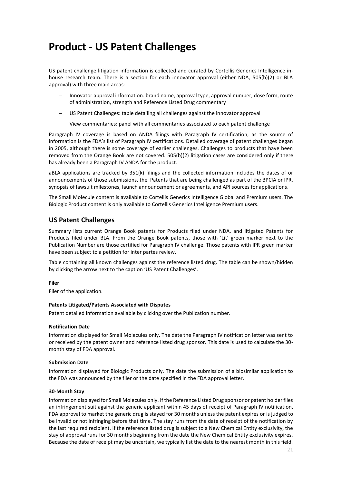## <span id="page-21-0"></span>**Product - US Patent Challenges**

US patent challenge litigation information is collected and curated by Cortellis Generics Intelligence inhouse research team. There is a section for each innovator approval (either NDA, 505(b)(2) or BLA approval) with three main areas:

- Innovator approval information: brand name, approval type, approval number, dose form, route of administration, strength and Reference Listed Drug commentary
- − US Patent Challenges: table detailing all challenges against the innovator approval
- − View commentaries: panel with all commentaries associated to each patent challenge

Paragraph IV coverage is based on ANDA filings with Paragraph IV certification, as the source of information is the FDA's list of Paragraph IV certifications. Detailed coverage of patent challenges began in 2005, although there is some coverage of earlier challenges. Challenges to products that have been removed from the Orange Book are not covered. 505(b)(2) litigation cases are considered only if there has already been a Paragraph IV ANDA for the product.

aBLA applications are tracked by 351(k) filings and the collected information includes the dates of or announcements of those submissions, the Patents that are being challenged as part of the BPCIA or IPR, synopsis of lawsuit milestones, launch announcement or agreements, and API sources for applications.

The Small Molecule content is available to Cortellis Generics Intelligence Global and Premium users. The Biologic Product content is only available to Cortellis Generics Intelligence Premium users.

## **US Patent Challenges**

Summary lists current Orange Book patents for Products filed under NDA, and litigated Patents for Products filed under BLA. From the Orange Book patents, those with 'Lit' green marker next to the Publication Number are those certified for Paragraph IV challenge. Those patents with IPR green marker have been subject to a petition for inter partes review.

Table containing all known challenges against the reference listed drug. The table can be shown/hidden by clicking the arrow next to the caption 'US Patent Challenges'.

#### **Filer**

Filer of the application.

#### **Patents Litigated/Patents Associated with Disputes**

Patent detailed information available by clicking over the Publication number.

#### **Notification Date**

Information displayed for Small Molecules only. The date the Paragraph IV notification letter was sent to or received by the patent owner and reference listed drug sponsor. This date is used to calculate the 30 month stay of FDA approval.

#### **Submission Date**

Information displayed for Biologic Products only. The date the submission of a biosimilar application to the FDA was announced by the filer or the date specified in the FDA approval letter.

#### **30-Month Stay**

Information displayed for Small Molecules only. If the Reference Listed Drug sponsor or patent holder files an infringement suit against the generic applicant within 45 days of receipt of Paragraph IV notification, FDA approval to market the generic drug is stayed for 30 months unless the patent expires or is judged to be invalid or not infringing before that time. The stay runs from the date of receipt of the notification by the last required recipient. If the reference listed drug is subject to a New Chemical Entity exclusivity, the stay of approval runs for 30 months beginning from the date the New Chemical Entity exclusivity expires. Because the date of receipt may be uncertain, we typically list the date to the nearest month in this field.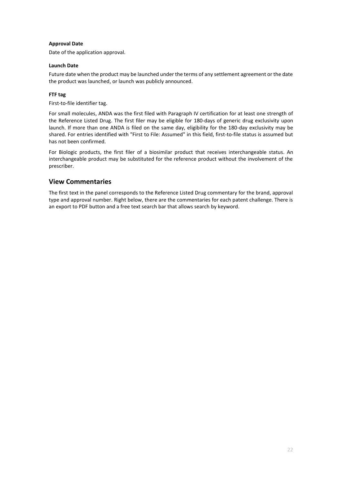#### **Approval Date**

Date of the application approval.

#### **Launch Date**

Future date when the product may be launched under the terms of any settlement agreement or the date the product was launched, or launch was publicly announced.

#### **FTF tag**

First-to-file identifier tag.

For small molecules, ANDA was the first filed with Paragraph IV certification for at least one strength of the Reference Listed Drug. The first filer may be eligible for 180-days of generic drug exclusivity upon launch. If more than one ANDA is filed on the same day, eligibility for the 180-day exclusivity may be shared. For entries identified with "First to File: Assumed" in this field, first-to-file status is assumed but has not been confirmed.

For Biologic products, the first filer of a biosimilar product that receives interchangeable status. An interchangeable product may be substituted for the reference product without the involvement of the prescriber.

## **View Commentaries**

The first text in the panel corresponds to the Reference Listed Drug commentary for the brand, approval type and approval number. Right below, there are the commentaries for each patent challenge. There is an export to PDF button and a free text search bar that allows search by keyword.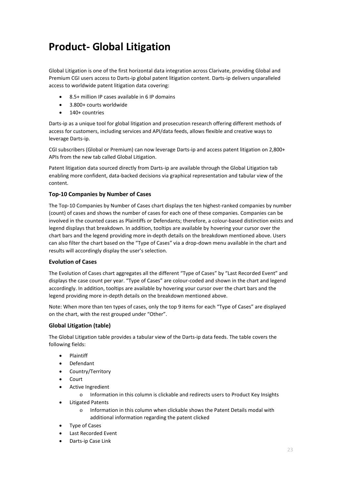## <span id="page-23-0"></span>**Product- Global Litigation**

Global Litigation is one of the first horizontal data integration across Clarivate, providing Global and Premium CGI users access to Darts-ip global patent litigation content. Darts-ip delivers unparalleled access to worldwide patent litigation data covering:

- 8.5+ million IP cases available in 6 IP domains
- 3.800+ courts worldwide
- 140+ countries

Darts-ip as a unique tool for global litigation and prosecution research offering different methods of access for customers, including services and API/data feeds, allows flexible and creative ways to leverage Darts-ip.

CGI subscribers (Global or Premium) can now leverage Darts-ip and access patent litigation on 2,800+ APIs from the new tab called Global Litigation.

Patent litigation data sourced directly from Darts-ip are available through the Global Litigation tab enabling more confident, data-backed decisions via graphical representation and tabular view of the content.

#### **Top-10 Companies by Number of Cases**

The Top-10 Companies by Number of Cases chart displays the ten highest-ranked companies by number (count) of cases and shows the number of cases for each one of these companies. Companies can be involved in the counted cases as Plaintiffs or Defendants; therefore, a colour-based distinction exists and legend displays that breakdown. In addition, tooltips are available by hovering your cursor over the chart bars and the legend providing more in-depth details on the breakdown mentioned above. Users can also filter the chart based on the "Type of Cases" via a drop-down menu available in the chart and results will accordingly display the user's selection.

#### **Evolution of Cases**

The Evolution of Cases chart aggregates all the different "Type of Cases" by "Last Recorded Event" and displays the case count per year. "Type of Cases" are colour-coded and shown in the chart and legend accordingly. In addition, tooltips are available by hovering your cursor over the chart bars and the legend providing more in-depth details on the breakdown mentioned above.

Note: When more than ten types of cases, only the top 9 items for each "Type of Cases" are displayed on the chart, with the rest grouped under "Other".

#### **Global Litigation (table)**

The Global Litigation table provides a tabular view of the Darts-ip data feeds. The table covers the following fields:

- Plaintiff
- Defendant
- Country/Territory
- Court
- Active Ingredient
	- o Information in this column is clickable and redirects users to Product Key Insights
- Litigated Patents
	- o Information in this column when clickable shows the Patent Details modal with additional information regarding the patent clicked
- Type of Cases
- Last Recorded Event
- Darts-ip Case Link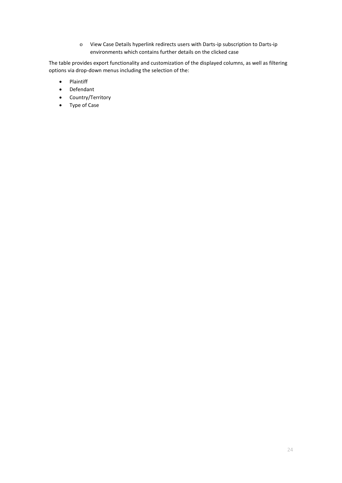o View Case Details hyperlink redirects users with Darts-ip subscription to Darts-ip environments which contains further details on the clicked case

The table provides export functionality and customization of the displayed columns, as well as filtering options via drop-down menus including the selection of the:

- Plaintiff
- Defendant
- Country/Territory
- Type of Case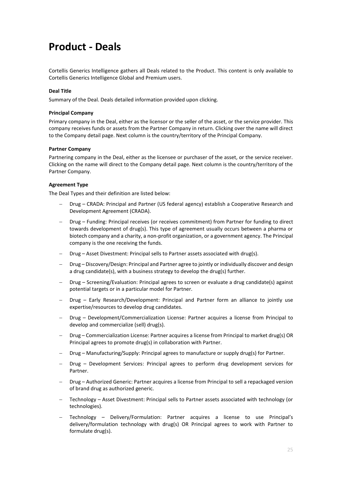## <span id="page-25-0"></span>**Product - Deals**

Cortellis Generics Intelligence gathers all Deals related to the Product. This content is only available to Cortellis Generics Intelligence Global and Premium users.

#### **Deal Title**

Summary of the Deal. Deals detailed information provided upon clicking.

#### **Principal Company**

Primary company in the Deal, either as the licensor or the seller of the asset, or the service provider. This company receives funds or assets from the Partner Company in return. Clicking over the name will direct to the Company detail page. Next column is the country/territory of the Principal Company.

#### **Partner Company**

Partnering company in the Deal, either as the licensee or purchaser of the asset, or the service receiver. Clicking on the name will direct to the Company detail page. Next column is the country/territory of the Partner Company.

#### **Agreement Type**

The Deal Types and their definition are listed below:

- − Drug CRADA: Principal and Partner (US federal agency) establish a Cooperative Research and Development Agreement (CRADA).
- − Drug Funding: Principal receives (or receives commitment) from Partner for funding to direct towards development of drug(s). This type of agreement usually occurs between a pharma or biotech company and a charity, a non-profit organization, or a government agency. The Principal company is the one receiving the funds.
- − Drug Asset Divestment: Principal sells to Partner assets associated with drug(s).
- − Drug Discovery/Design: Principal and Partner agree to jointly or individually discover and design a drug candidate(s), with a business strategy to develop the drug(s) further.
- − Drug Screening/Evaluation: Principal agrees to screen or evaluate a drug candidate(s) against potential targets or in a particular model for Partner.
- − Drug Early Research/Development: Principal and Partner form an alliance to jointly use expertise/resources to develop drug candidates.
- − Drug Development/Commercialization License: Partner acquires a license from Principal to develop and commercialize (sell) drug(s).
- − Drug Commercialization License: Partner acquires a license from Principal to market drug(s) OR Principal agrees to promote drug(s) in collaboration with Partner.
- − Drug Manufacturing/Supply: Principal agrees to manufacture or supply drug(s) for Partner.
- − Drug Development Services: Principal agrees to perform drug development services for Partner.
- − Drug Authorized Generic: Partner acquires a license from Principal to sell a repackaged version of brand drug as authorized generic.
- Technology Asset Divestment: Principal sells to Partner assets associated with technology (or technologies).
- − Technology Delivery/Formulation: Partner acquires a license to use Principal's delivery/formulation technology with drug(s) OR Principal agrees to work with Partner to formulate drug(s).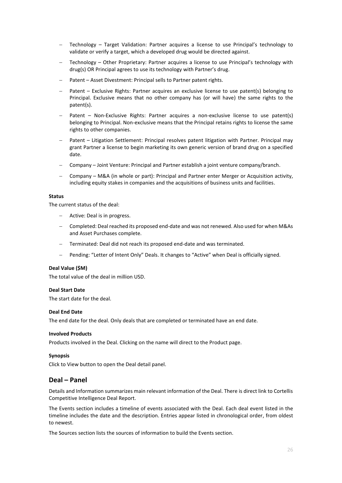- − Technology Target Validation: Partner acquires a license to use Principal's technology to validate or verify a target, which a developed drug would be directed against.
- − Technology Other Proprietary: Partner acquires a license to use Principal's technology with drug(s) OR Principal agrees to use its technology with Partner's drug.
- − Patent Asset Divestment: Principal sells to Partner patent rights.
- Patent Exclusive Rights: Partner acquires an exclusive license to use patent(s) belonging to Principal. Exclusive means that no other company has (or will have) the same rights to the patent(s).
- − Patent Non-Exclusive Rights: Partner acquires a non-exclusive license to use patent(s) belonging to Principal. Non-exclusive means that the Principal retains rights to license the same rights to other companies.
- Patent Litigation Settlement: Principal resolves patent litigation with Partner. Principal may grant Partner a license to begin marketing its own generic version of brand drug on a specified date.
- − Company Joint Venture: Principal and Partner establish a joint venture company/branch.
- − Company M&A (in whole or part): Principal and Partner enter Merger or Acquisition activity, including equity stakes in companies and the acquisitions of business units and facilities.

#### **Status**

The current status of the deal:

- − Active: Deal is in progress.
- − Completed: Deal reached its proposed end-date and was not renewed. Also used for when M&As and Asset Purchases complete.
- − Terminated: Deal did not reach its proposed end-date and was terminated.
- − Pending: "Letter of Intent Only" Deals. It changes to "Active" when Deal is officially signed.

#### **Deal Value (\$M)**

The total value of the deal in million USD.

#### **Deal Start Date**

The start date for the deal.

#### **Deal End Date**

The end date for the deal. Only deals that are completed or terminated have an end date.

#### **Involved Products**

Products involved in the Deal. Clicking on the name will direct to the Product page.

#### **Synopsis**

Click to View button to open the Deal detail panel.

#### **Deal – Panel**

Details and Information summarizes main relevant information of the Deal. There is direct link to Cortellis Competitive Intelligence Deal Report.

The Events section includes a timeline of events associated with the Deal. Each deal event listed in the timeline includes the date and the description. Entries appear listed in chronological order, from oldest to newest.

The Sources section lists the sources of information to build the Events section.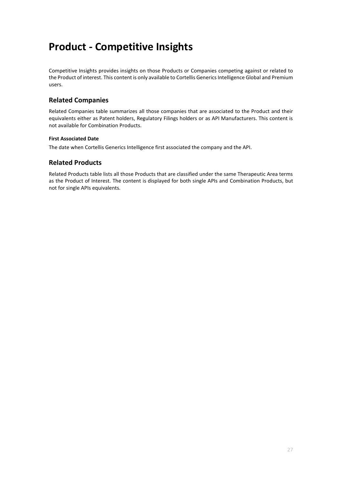## <span id="page-27-0"></span>**Product - Competitive Insights**

Competitive Insights provides insights on those Products or Companies competing against or related to the Product of interest. This content is only available to Cortellis Generics Intelligence Global and Premium users.

## **Related Companies**

Related Companies table summarizes all those companies that are associated to the Product and their equivalents either as Patent holders, Regulatory Filings holders or as API Manufacturers. This content is not available for Combination Products.

#### **First Associated Date**

The date when Cortellis Generics Intelligence first associated the company and the API.

## **Related Products**

Related Products table lists all those Products that are classified under the same Therapeutic Area terms as the Product of Interest. The content is displayed for both single APIs and Combination Products, but not for single APIs equivalents.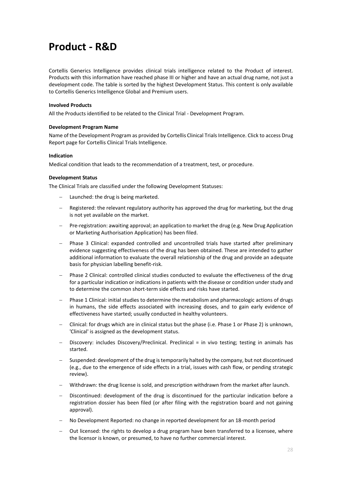## <span id="page-28-0"></span>**Product - R&D**

Cortellis Generics Intelligence provides clinical trials intelligence related to the Product of interest. Products with this information have reached phase III or higher and have an actual drug name, not just a development code. The table is sorted by the highest Development Status. This content is only available to Cortellis Generics Intelligence Global and Premium users.

#### **Involved Products**

All the Products identified to be related to the Clinical Trial - Development Program.

#### **Development Program Name**

Name of the Development Program as provided by Cortellis Clinical Trials Intelligence. Click to access Drug Report page for Cortellis Clinical Trials Intelligence.

#### **Indication**

Medical condition that leads to the recommendation of a treatment, test, or procedure.

#### **Development Status**

The Clinical Trials are classified under the following Development Statuses:

- Launched: the drug is being marketed.
- Registered: the relevant regulatory authority has approved the drug for marketing, but the drug is not yet available on the market.
- − Pre-registration: awaiting approval; an application to market the drug (e.g. New Drug Application or Marketing Authorisation Application) has been filed.
- − Phase 3 Clinical: expanded controlled and uncontrolled trials have started after preliminary evidence suggesting effectiveness of the drug has been obtained. These are intended to gather additional information to evaluate the overall relationship of the drug and provide an adequate basis for physician labelling benefit-risk.
- Phase 2 Clinical: controlled clinical studies conducted to evaluate the effectiveness of the drug for a particular indication or indications in patients with the disease or condition under study and to determine the common short-term side effects and risks have started.
- Phase 1 Clinical: initial studies to determine the metabolism and pharmacologic actions of drugs in humans, the side effects associated with increasing doses, and to gain early evidence of effectiveness have started; usually conducted in healthy volunteers.
- − Clinical: for drugs which are in clinical status but the phase (i.e. Phase 1 or Phase 2) is unknown, 'Clinical' is assigned as the development status.
- − Discovery: includes Discovery/Preclinical. Preclinical = in vivo testing; testing in animals has started.
- − Suspended: development of the drug is temporarily halted by the company, but not discontinued (e.g., due to the emergence of side effects in a trial, issues with cash flow, or pending strategic review).
- − Withdrawn: the drug license is sold, and prescription withdrawn from the market after launch.
- Discontinued: development of the drug is discontinued for the particular indication before a registration dossier has been filed (or after filing with the registration board and not gaining approval).
- − No Development Reported: no change in reported development for an 18-month period
- Out licensed: the rights to develop a drug program have been transferred to a licensee, where the licensor is known, or presumed, to have no further commercial interest.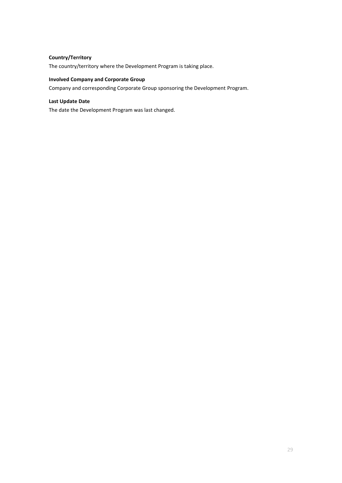### **Country/Territory**

The country/territory where the Development Program is taking place.

#### **Involved Company and Corporate Group**

Company and corresponding Corporate Group sponsoring the Development Program.

### **Last Update Date**

The date the Development Program was last changed.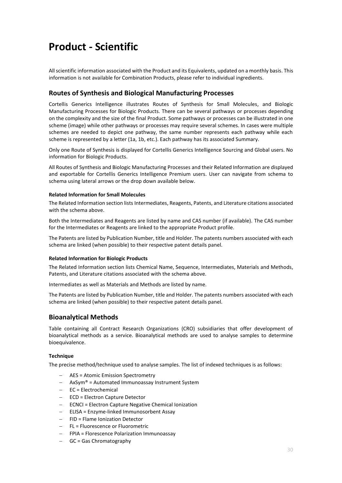## <span id="page-30-0"></span>**Product - Scientific**

All scientific information associated with the Product and its Equivalents, updated on a monthly basis. This information is not available for Combination Products, please refer to individual ingredients.

## **Routes of Synthesis and Biological Manufacturing Processes**

Cortellis Generics Intelligence illustrates Routes of Synthesis for Small Molecules, and Biologic Manufacturing Processes for Biologic Products. There can be several pathways or processes depending on the complexity and the size of the final Product. Some pathways or processes can be illustrated in one scheme (image) while other pathways or processes may require several schemes. In cases were multiple schemes are needed to depict one pathway, the same number represents each pathway while each scheme is represented by a letter (1a, 1b, etc.). Each pathway has its associated Summary.

Only one Route of Synthesis is displayed for Cortellis Generics Intelligence Sourcing and Global users. No information for Biologic Products.

All Routes of Synthesis and Biologic Manufacturing Processes and their Related Information are displayed and exportable for Cortellis Generics Intelligence Premium users. User can navigate from schema to schema using lateral arrows or the drop down available below.

#### **Related Information for Small Molecules**

The Related Information section lists Intermediates, Reagents, Patents, and Literature citations associated with the schema above.

Both the Intermediates and Reagents are listed by name and CAS number (if available). The CAS number for the Intermediates or Reagents are linked to the appropriate Product profile.

The Patents are listed by Publication Number, title and Holder. The patents numbers associated with each schema are linked (when possible) to their respective patent details panel.

#### **Related Information for Biologic Products**

The Related Information section lists Chemical Name, Sequence, Intermediates, Materials and Methods, Patents, and Literature citations associated with the schema above.

Intermediates as well as Materials and Methods are listed by name.

The Patents are listed by Publication Number, title and Holder. The patents numbers associated with each schema are linked (when possible) to their respective patent details panel.

### **Bioanalytical Methods**

Table containing all Contract Research Organizations (CRO) subsidiaries that offer development of bioanalytical methods as a service. Bioanalytical methods are used to analyse samples to determine bioequivalence.

#### **Technique**

The precise method/technique used to analyse samples. The list of indexed techniques is as follows:

- − AES = Atomic Emission Spectrometry
- − AxSym® = Automated Immunoassay Instrument System
- − EC = Electrochemical
- − ECD = Electron Capture Detector
- − ECNCI = Electron Capture Negative Chemical Ionization
- − ELISA = Enzyme-linked Immunosorbent Assay
- − FID = Flame Ionization Detector
- − FL = Fluorescence or Fluorometric
- − FPIA = Florescence Polarization Immunoassay
- − GC = Gas Chromatography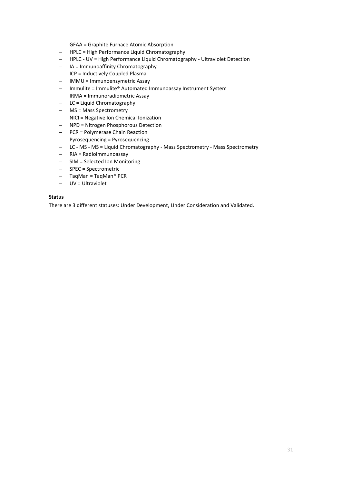- − GFAA = Graphite Furnace Atomic Absorption
- − HPLC = High Performance Liquid Chromatography
- − HPLC UV = High Performance Liquid Chromatography Ultraviolet Detection
- − IA = Immunoaffinity Chromatography
- − ICP = Inductively Coupled Plasma
- − IMMU = Immunoenzymetric Assay
- − Immulite = Immulite® Automated Immunoassay Instrument System
- − IRMA = Immunoradiometric Assay
- − LC = Liquid Chromatography
- − MS = Mass Spectrometry
- − NICI = Negative Ion Chemical Ionization
- − NPD = Nitrogen Phosphorous Detection
- − PCR = Polymerase Chain Reaction
- − Pyrosequencing = Pyrosequencing
- − LC MS MS = Liquid Chromatography Mass Spectrometry Mass Spectrometry
- − RIA = Radioimmunoassay
- − SIM = Selected Ion Monitoring
- − SPEC = Spectrometric
- − TaqMan = TaqMan® PCR
- − UV = Ultraviolet

#### **Status**

There are 3 different statuses: Under Development, Under Consideration and Validated.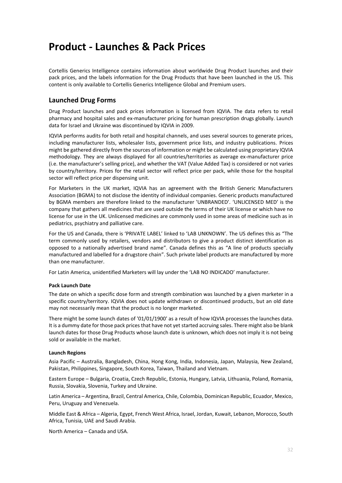## <span id="page-32-0"></span>**Product - Launches & Pack Prices**

Cortellis Generics Intelligence contains information about worldwide Drug Product launches and their pack prices, and the labels information for the Drug Products that have been launched in the US. This content is only available to Cortellis Generics Intelligence Global and Premium users.

## **Launched Drug Forms**

Drug Product launches and pack prices information is licensed from IQVIA. The data refers to retail pharmacy and hospital sales and ex-manufacturer pricing for human prescription drugs globally. Launch data for Israel and Ukraine was discontinued by IQVIA in 2009.

IQVIA performs audits for both retail and hospital channels, and uses several sources to generate prices, including manufacturer lists, wholesaler lists, government price lists, and industry publications. Prices might be gathered directly from the sources of information or might be calculated using proprietary IQVIA methodology. They are always displayed for all countries/territories as average ex-manufacturer price (i.e. the manufacturer's selling price), and whether the VAT (Value Added Tax) is considered or not varies by country/territory. Prices for the retail sector will reflect price per pack, while those for the hospital sector will reflect price per dispensing unit.

For Marketers in the UK market, IQVIA has an agreement with the British Generic Manufacturers Association (BGMA) to not disclose the identity of individual companies. Generic products manufactured by BGMA members are therefore linked to the manufacturer 'UNBRANDED'. 'UNLICENSED MED' is the company that gathers all medicines that are used outside the terms of their UK license or which have no license for use in the UK. Unlicensed medicines are commonly used in some areas of medicine such as in pediatrics, psychiatry and palliative care.

For the US and Canada, there is 'PRIVATE LABEL' linked to 'LAB UNKNOWN'. The US defines this as "The term commonly used by retailers, vendors and distributors to give a product distinct identification as opposed to a nationally advertised brand name". Canada defines this as "A line of products specially manufactured and labelled for a drugstore chain". Such private label products are manufactured by more than one manufacturer.

For Latin America, unidentified Marketers will lay under the 'LAB NO INDICADO' manufacturer.

#### **Pack Launch Date**

The date on which a specific dose form and strength combination was launched by a given marketer in a specific country/territory. IQVIA does not update withdrawn or discontinued products, but an old date may not necessarily mean that the product is no longer marketed.

There might be some launch dates of '01/01/1900' as a result of how IQVIA processes the launches data. It is a dummy date for those pack prices that have not yet started accruing sales. There might also be blank launch dates for those Drug Products whose launch date is unknown, which does not imply it is not being sold or available in the market.

#### **Launch Regions**

Asia Pacific – Australia, Bangladesh, China, Hong Kong, India, Indonesia, Japan, Malaysia, New Zealand, Pakistan, Philippines, Singapore, South Korea, Taiwan, Thailand and Vietnam.

Eastern Europe – Bulgaria, Croatia, Czech Republic, Estonia, Hungary, Latvia, Lithuania, Poland, Romania, Russia, Slovakia, Slovenia, Turkey and Ukraine.

Latin America – Argentina, Brazil, Central America, Chile, Colombia, Dominican Republic, Ecuador, Mexico, Peru, Uruguay and Venezuela.

Middle East & Africa – Algeria, Egypt, French West Africa, Israel, Jordan, Kuwait, Lebanon, Morocco, South Africa, Tunisia, UAE and Saudi Arabia.

North America – Canada and USA.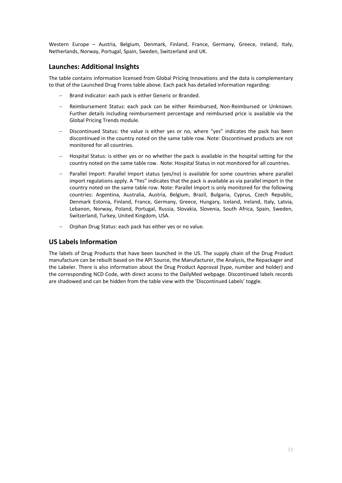Western Europe - Austria, Belgium, Denmark, Finland, France, Germany, Greece, Ireland, Italy, Netherlands, Norway, Portugal, Spain, Sweden, Switzerland and UK.

## **Launches: Additional Insights**

The table contains information licensed from Global Pricing Innovations and the data is complementary to that of the Launched Drug Froms table above. Each pack has detailed information regarding:

- Brand Indicator: each pack is either Generic or Branded.
- − Reimbursement Status: each pack can be either Reimbursed, Non-Reimbursed or Unknown. Further details including reimbursement percentage and reimbursed price is available via the Global Pricing Trends module.
- Discontinued Status: the value is either yes or no, where "yes" indicates the pack has been discontinued in the country noted on the same table row. Note: Discontinued products are not monitored for all countries.
- − Hospital Status: is either yes or no whether the pack is available in the hospital setting for the country noted on the same table row. Note: Hospital Status in not monitored for all countries.
- − Parallel Import: Parallel Import status (yes/no) is available for some countries where parallel import regulations apply. A "Yes" indicates that the pack is available as via parallel import in the country noted on the same table row. Note: Parallel Import is only monitored for the following countries: Argentina, Australia, Austria, Belgium, Brazil, Bulgaria, Cyprus, Czech Republic, Denmark Estonia, Finland, France, Germany, Greece, Hungary, Iceland, Ireland, Italy, Latvia, Lebanon, Norway, Poland, Portugal, Russia, Slovakia, Slovenia, South Africa, Spain, Sweden, Switzerland, Turkey, United Kingdom, USA.
- − Orphan Drug Status: each pack has either yes or no value.

## **US Labels Information**

The labels of Drug Products that have been launched in the US. The supply chain of the Drug Product manufacture can be rebuilt based on the API Source, the Manufacturer, the Analysis, the Repackager and the Labeler. There is also information about the Drug Product Approval (type, number and holder) and the corresponding NCD Code, with direct access to the DailyMed webpage. Discontinued labels records are shadowed and can be hidden from the table view with the 'Discontinued Labels' toggle.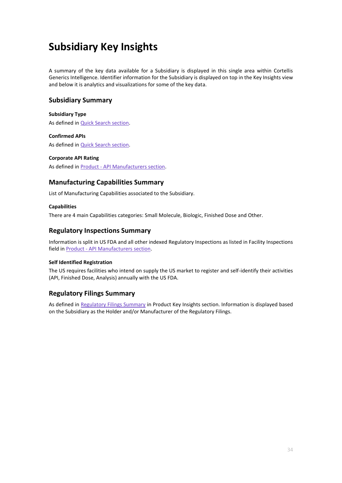## <span id="page-34-0"></span>**Subsidiary Key Insights**

A summary of the key data available for a Subsidiary is displayed in this single area within Cortellis Generics Intelligence. Identifier information for the Subsidiary is displayed on top in the Key Insights view and below it is analytics and visualizations for some of the key data.

## **Subsidiary Summary**

#### **Subsidiary Type**

As defined in [Quick Search section.](#page-4-2) 

**Confirmed APIs** As defined in [Quick Search section.](#page-5-0) 

#### **Corporate API Rating**

As defined in Product - [API Manufacturers section.](#page-10-1) 

## **Manufacturing Capabilities Summary**

List of Manufacturing Capabilities associated to the Subsidiary.

#### <span id="page-34-1"></span>**Capabilities**

There are 4 main Capabilities categories: Small Molecule, Biologic, Finished Dose and Other.

## **Regulatory Inspections Summary**

Information is split in US FDA and all other indexed Regulatory Inspections as listed in Facility Inspections field in Product - [API Manufacturers section.](#page-11-0)

#### **Self Identified Registration**

The US requires facilities who intend on supply the US market to register and self-identify their activities (API, Finished Dose, Analysis) annually with the US FDA.

## **Regulatory Filings Summary**

As defined i[n Regulatory Filings Summary](#page-8-0) in Product Key Insights section. Information is displayed based on the Subsidiary as the Holder and/or Manufacturer of the Regulatory Filings.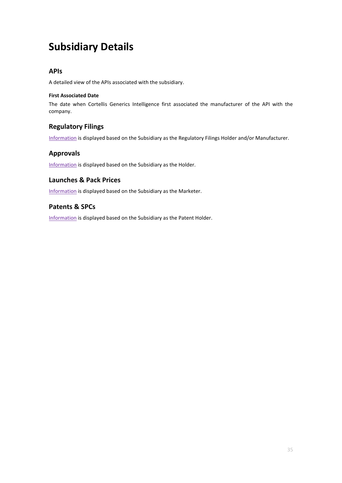## <span id="page-35-0"></span>**Subsidiary Details**

## **APIs**

A detailed view of the APIs associated with the subsidiary.

#### **First Associated Date**

The date when Cortellis Generics Intelligence first associated the manufacturer of the API with the company.

## **Regulatory Filings**

[Information](#page-12-0) is displayed based on the Subsidiary as the Regulatory Filings Holder and/or Manufacturer.

## **Approvals**

[Information](#page-14-0) is displayed based on the Subsidiary as the Holder.

## **Launches & Pack Prices**

[Information](#page-16-0) is displayed based on the Subsidiary as the Marketer.

## **Patents & SPCs**

[Information](#page-17-0) is displayed based on the Subsidiary as the Patent Holder.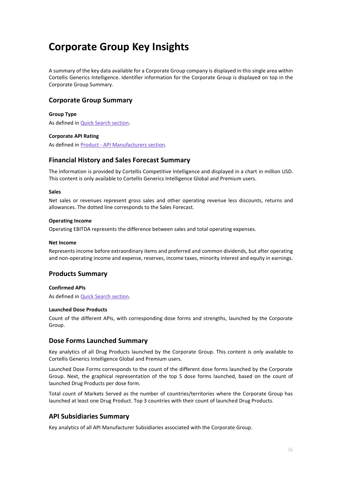## <span id="page-36-0"></span>**Corporate Group Key Insights**

A summary of the key data available for a Corporate Group company is displayed in this single area within Cortellis Generics Intelligence. Identifier information for the Corporate Group is displayed on top in the Corporate Group Summary.

## **Corporate Group Summary**

#### **Group Type**

As defined in [Quick Search section.](#page-4-1) 

#### **Corporate API Rating**

As defined in Product - [API Manufacturers section.](#page-10-1) 

#### **Financial History and Sales Forecast Summary**

The information is provided by Cortellis Competitive Intelligence and displayed in a chart in million USD. This content is only available to Cortellis Generics Intelligence Global and Premium users.

#### **Sales**

Net sales or revenues represent gross sales and other operating revenue less discounts, returns and allowances. The dotted line corresponds to the Sales Forecast.

#### **Operating Income**

Operating EBITDA represents the difference between sales and total operating expenses.

#### **Net Income**

Represents income before extraordinary items and preferred and common dividends, but after operating and non-operating income and expense, reserves, income taxes, minority interest and equity in earnings.

#### **Products Summary**

#### **Confirmed APIs**

As defined in [Quick Search section.](#page-5-0) 

#### **Launched Dose Products**

Count of the different APIs, with corresponding dose forms and strengths, launched by the Corporate Group.

#### **Dose Forms Launched Summary**

Key analytics of all Drug Products launched by the Corporate Group. This content is only available to Cortellis Generics Intelligence Global and Premium users.

Launched Dose Forms corresponds to the count of the different dose forms launched by the Corporate Group. Next, the graphical representation of the top 5 dose forms launched, based on the count of launched Drug Products per dose form.

Total count of Markets Served as the number of countries/territories where the Corporate Group has launched at least one Drug Product. Top 3 countries with their count of launched Drug Products.

#### **API Subsidiaries Summary**

Key analytics of all API Manufacturer Subsidiaries associated with the Corporate Group.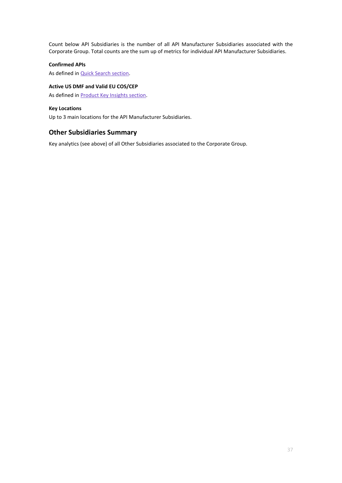Count below API Subsidiaries is the number of all API Manufacturer Subsidiaries associated with the Corporate Group. Total counts are the sum up of metrics for individual API Manufacturer Subsidiaries.

#### **Confirmed APIs**

As defined in [Quick Search section.](#page-5-0) 

#### **Active US DMF and Valid EU COS/CEP**

As defined in [Product Key Insights section.](#page-8-0)

#### **Key Locations**

Up to 3 main locations for the API Manufacturer Subsidiaries.

## **Other Subsidiaries Summary**

Key analytics (see above) of all Other Subsidiaries associated to the Corporate Group.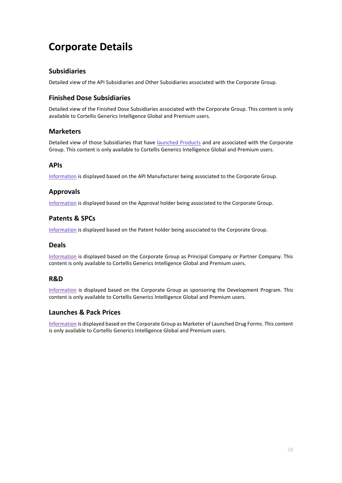## <span id="page-38-0"></span>**Corporate Details**

## **Subsidiaries**

Detailed view of the API Subsidiaries and Other Subsidiaries associated with the Corporate Group.

## **Finished Dose Subsidiaries**

Detailed view of the Finished Dose Subsidiaries associated with the Corporate Group. This content is only available to Cortellis Generics Intelligence Global and Premium users.

## **Marketers**

Detailed view of those Subsidiaries that have [launched Products](#page-16-0) and are associated with the Corporate Group. This content is only available to Cortellis Generics Intelligence Global and Premium users.

## **APIs**

[Information](#page-10-0) is displayed based on the API Manufacturer being associated to the Corporate Group.

## **Approvals**

[Information](#page-14-0) is displayed based on the Approval holder being associated to the Corporate Group.

## **Patents & SPCs**

[Information](#page-17-0) is displayed based on the Patent holder being associated to the Corporate Group.

## **Deals**

[Information](#page-25-0) is displayed based on the Corporate Group as Principal Company or Partner Company. This content is only available to Cortellis Generics Intelligence Global and Premium users.

### **R&D**

[Information](#page-28-0) is displayed based on the Corporate Group as sponsoring the Development Program. This content is only available to Cortellis Generics Intelligence Global and Premium users.

## **Launches & Pack Prices**

[Information](#page-32-0) is displayed based on the Corporate Group as Marketer of Launched Drug Forms. This content is only available to Cortellis Generics Intelligence Global and Premium users.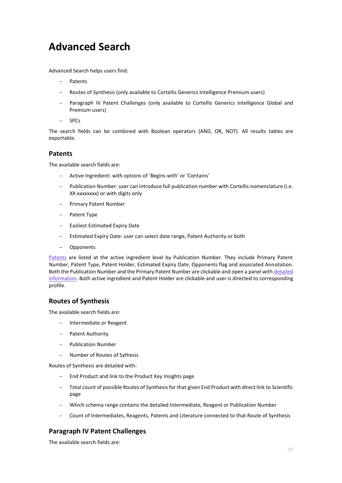## <span id="page-39-0"></span>**Advanced Search**

Advanced Search helps users find:

- − Patents
- − Routes of Synthesis (only available to Cortellis Generics Intelligence Premium users)
- − Paragraph IV Patent Challenges (only available to Cortellis Generics Intelligence Global and Premium users)
- − SPCs

The search fields can be combined with Boolean operators (AND, OR, NOT). All results tables are exportable.

### **Patents**

The available search fields are:

- − Active Ingredient: with options of 'Begins with' or 'Contains'
- − Publication Number: user can introduce full publication number with Cortellis nomenclature (i.e. XX-xxxxxxxx) or with digits only
- − Primary Patent Number
- − Patent Type
- − Easliest Estimated Expiry Date
- − Estimated Expiry Date: user can select date range, Patent Authority or both
- − Opponents

[Patents](#page-17-0) are listed at the active ingredient level by Publication Number. They include Primary Patent Number, Patent Type, Patent Holder, Estimated Expiry Date, Opponents flag and associated Annotation. Both the Publication Number and the Primary Patent Number are clickable and open a panel with detailed [information.](#page-18-0) Both active ingredient and Patent Holder are clickable and user is directed to corresponding profile.

### **Routes of Synthesis**

The available search fields are:

- − Intermediate or Reagent
- − Patent Authority
- − Publication Number
- − Number of Routes of Sythesis

Routes of Synthesis are detailed with:

- − End Product and link to the Product Key Insights page
- − Total count of possible Routes of Synthesis for that given End Product with direct link to Scientific page
- − Which schema range contains the detailed Intermediate, Reagent or Publication Number
- − Count of Intermediates, Reagents, Patents and Literature connected to that Route of Synthesis

### **Paragraph IV Patent Challenges**

The available search fields are: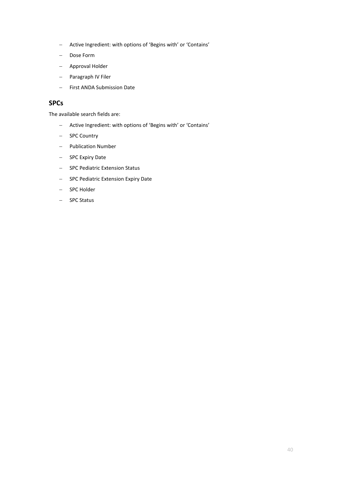- − Active Ingredient: with options of 'Begins with' or 'Contains'
- − Dose Form
- − Approval Holder
- − Paragraph IV Filer
- − First ANDA Submission Date

### **SPCs**

The available search fields are:

- − Active Ingredient: with options of 'Begins with' or 'Contains'
- − SPC Country
- − Publication Number
- − SPC Expiry Date
- − SPC Pediatric Extension Status
- − SPC Pediatric Extension Expiry Date
- − SPC Holder
- − SPC Status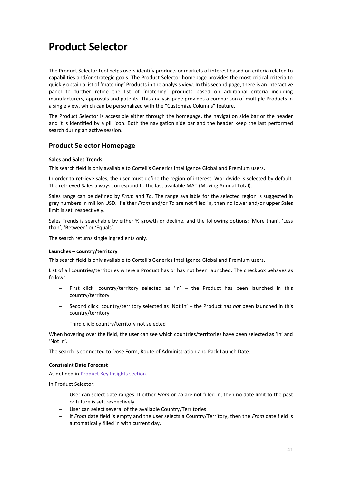## <span id="page-41-0"></span>**Product Selector**

The Product Selector tool helps users identify products or markets of interest based on criteria related to capabilities and/or strategic goals. The Product Selector homepage provides the most critical criteria to quickly obtain a list of 'matching' Products in the analysis view. In this second page, there is an interactive panel to further refine the list of 'matching' products based on additional criteria including manufacturers, approvals and patents. This analysis page provides a comparison of multiple Products in a single view, which can be personalized with the "Customize Columns" feature.

The Product Selector is accessible either through the homepage, the navigation side bar or the header and it is identified by a pill icon. Both the navigation side bar and the header keep the last performed search during an active session.

## **Product Selector Homepage**

#### **Sales and Sales Trends**

This search field is only available to Cortellis Generics Intelligence Global and Premium users.

In order to retrieve sales, the user must define the region of interest. Worldwide is selected by default. The retrieved Sales always correspond to the last available MAT (Moving Annual Total).

Sales range can be defined by *From* and *To*. The range available for the selected region is suggested in grey numbers in million USD. If either *From* and/or *To* are not filled in, then no lower and/or upper Sales limit is set, respectively.

Sales Trends is searchable by either % growth or decline, and the following options: 'More than', 'Less than', 'Between' or 'Equals'.

The search returns single ingredients only.

#### **Launches – country/territory**

This search field is only available to Cortellis Generics Intelligence Global and Premium users.

List of all countries/territories where a Product has or has not been launched. The checkbox behaves as follows:

- First click: country/territory selected as 'In' the Product has been launched in this country/territory
- − Second click: country/territory selected as 'Not in' the Product has *not* been launched in this country/territory
- − Third click: country/territory not selected

When hovering over the field, the user can see which countries/territories have been selected as 'In' and 'Not in'.

The search is connected to Dose Form, Route of Administration and Pack Launch Date.

#### **Constraint Date Forecast**

As defined in [Product Key Insights section.](#page-8-2)

In Product Selector:

- − User can select date ranges. If either *From* or *To* are not filled in, then no date limit to the past or future is set, respectively.
- − User can select several of the available Country/Territories.
- − If *From* date field is empty and the user selects a Country/Territory, then the *From* date field is automatically filled in with current day.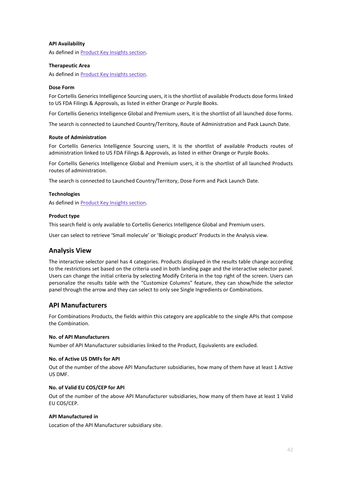#### **API Availability**

As defined in [Product Key Insights section.](#page-6-1)

#### **Therapeutic Area**

As defined in [Product Key Insights section.](#page-6-2)

#### **Dose Form**

For Cortellis Generics Intelligence Sourcing users, it is the shortlist of available Products dose forms linked to US FDA Filings & Approvals, as listed in either Orange or Purple Books.

For Cortellis Generics Intelligence Global and Premium users, it is the shortlist of all launched dose forms.

The search is connected to Launched Country/Territory, Route of Administration and Pack Launch Date.

#### **Route of Administration**

For Cortellis Generics Intelligence Sourcing users, it is the shortlist of available Products routes of administration linked to US FDA Filings & Approvals, as listed in either Orange or Purple Books.

For Cortellis Generics Intelligence Global and Premium users, it is the shortlist of all launched Products routes of administration.

The search is connected to Launched Country/Territory, Dose Form and Pack Launch Date.

#### **Technologies**

As defined in [Product Key Insights section.](#page-6-3)

#### **Product type**

This search field is only available to Cortellis Generics Intelligence Global and Premium users.

User can select to retrieve 'Small molecule' or 'Biologic product' Products in the Analysis view.

#### **Analysis View**

The interactive selector panel has 4 categories. Products displayed in the results table change according to the restrictions set based on the criteria used in both landing page and the interactive selector panel. Users can change the initial criteria by selecting Modify Criteria in the top right of the screen. Users can personalize the results table with the "Customize Columns" feature, they can show/hide the selector panel through the arrow and they can select to only see Single Ingredients or Combinations.

#### **API Manufacturers**

For Combinations Products, the fields within this category are applicable to the single APIs that compose the Combination.

#### **No. of API Manufacturers**

Number of API Manufacturer subsidiaries linked to the Product, Equivalents are excluded.

#### **No. of Active US DMFs for API**

Out of the number of the above API Manufacturer subsidiaries, how many of them have at least 1 Active US DMF.

#### **No. of Valid EU COS/CEP for API**

Out of the number of the above API Manufacturer subsidiaries, how many of them have at least 1 Valid EU COS/CEP.

#### **API Manufactured in**

Location of the API Manufacturer subsidiary site.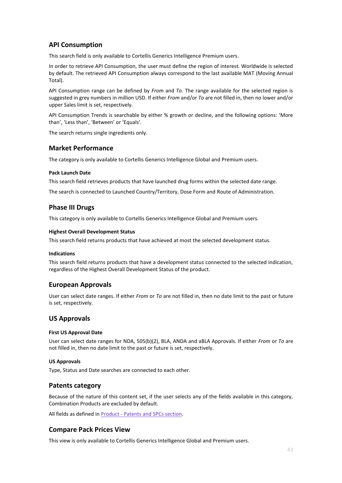## **API Consumption**

This search field is only available to Cortellis Generics Intelligence Premium users.

In order to retrieve API Consumption, the user must define the region of interest. Worldwide is selected by default. The retrieved API Consumption always correspond to the last available MAT (Moving Annual Total).

API Consumption range can be defined by *From* and *To*. The range available for the selected region is suggested in grey numbers in million USD. If either *From* and/or *To* are not filled in, then no lower and/or upper Sales limit is set, respectively.

API Consumption Trends is searchable by either % growth or decline, and the following options: 'More than', 'Less than', 'Between' or 'Equals'.

The search returns single ingredients only.

### **Market Performance**

The category is only available to Cortellis Generics Intelligence Global and Premium users.

#### **Pack Launch Date**

This search field retrieves products that have launched drug forms within the selected date range.

The search is connected to Launched Country/Territory, Dose Form and Route of Administration.

### **Phase III Drugs**

This category is only available to Cortellis Generics Intelligence Global and Premium users.

#### **Highest Overall Development Status**

This search field returns products that have achieved at most the selected development status.

#### **Indications**

This search field returns products that have a development status connected to the selected indication, regardless of the Highest Overall Development Status of the product.

### **European Approvals**

User can select date ranges. If either *From* or *To* are not filled in, then no date limit to the past or future is set, respectively.

### **US Approvals**

#### **First US Approval Date**

User can select date ranges for NDA, 505(b)(2), BLA, ANDA and aBLA Approvals. If either *From* or *To* are not filled in, then no date limit to the past or future is set, respectively.

#### **US Approvals**

Type, Status and Date searches are connected to each other.

#### **Patents category**

Because of the nature of this content set, if the user selects any of the fields available in this category, Combination Products are excluded by default.

All fields as defined in Product - Patents and [SPCs section.](#page-17-0)

### **Compare Pack Prices View**

This view is only available to Cortellis Generics Intelligence Global and Premium users.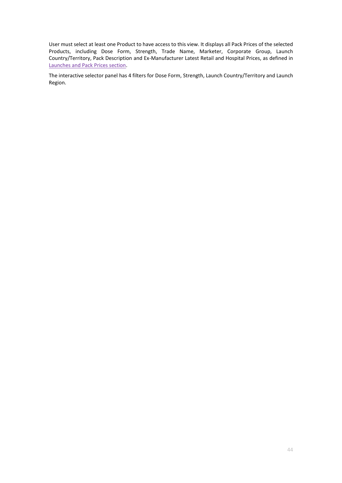User must select at least one Product to have access to this view. It displays all Pack Prices of the selected Products, including Dose Form, Strength, Trade Name, Marketer, Corporate Group, Launch Country/Territory, Pack Description and Ex-Manufacturer Latest Retail and Hospital Prices, as defined in [Launches and Pack Prices section.](#page-16-0)

The interactive selector panel has 4 filters for Dose Form, Strength, Launch Country/Territory and Launch Region.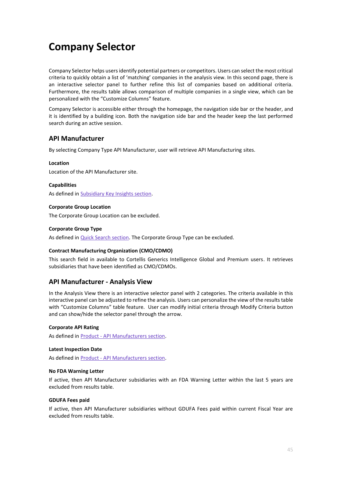## <span id="page-45-0"></span>**Company Selector**

Company Selector helps users identify potential partners or competitors. Users can select the most critical criteria to quickly obtain a list of 'matching' companies in the analysis view. In this second page, there is an interactive selector panel to further refine this list of companies based on additional criteria. Furthermore, the results table allows comparison of multiple companies in a single view, which can be personalized with the "Customize Columns" feature.

Company Selector is accessible either through the homepage, the navigation side bar or the header, and it is identified by a building icon. Both the navigation side bar and the header keep the last performed search during an active session.

### **API Manufacturer**

By selecting Company Type API Manufacturer, user will retrieve API Manufacturing sites.

#### **Location**

Location of the API Manufacturer site.

#### **Capabilities**

As defined in [Subsidiary Key Insights section.](#page-34-1)

#### **Corporate Group Location**

The Corporate Group Location can be excluded.

#### **Corporate Group Type**

As defined in [Quick Search section.](#page-4-1) The Corporate Group Type can be excluded.

#### **Contract Manufacturing Organization (CMO/CDMO)**

This search field in available to Cortellis Generics Intelligence Global and Premium users. It retrieves subsidiaries that have been identified as CMO/CDMOs.

#### **API Manufacturer - Analysis View**

In the Analysis View there is an interactive selector panel with 2 categories. The criteria available in this interactive panel can be adjusted to refine the analysis. Users can personalize the view of the results table with "Customize Columns" table feature. User can modify initial criteria through Modify Criteria button and can show/hide the selector panel through the arrow.

#### **Corporate API Rating**

As defined in Product - [API Manufacturers section.](#page-10-1) 

#### **Latest Inspection Date**

As defined in Product - [API Manufacturers section.](#page-11-0) 

#### **No FDA Warning Letter**

If active, then API Manufacturer subsidiaries with an FDA Warning Letter within the last 5 years are excluded from results table.

#### **GDUFA Fees paid**

If active, then API Manufacturer subsidiaries without GDUFA Fees paid within current Fiscal Year are excluded from results table.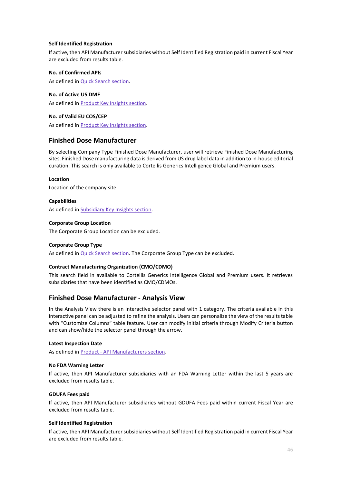#### **Self Identified Registration**

If active, then API Manufacturer subsidiaries without Self Identified Registration paid in current Fiscal Year are excluded from results table.

#### **No. of Confirmed APIs**

As defined in [Quick Search section.](#page-5-0) 

#### **No. of Active US DMF**

As defined in [Product Key Insights section.](#page-8-0)

#### **No. of Valid EU COS/CEP**

As defined in [Product Key Insights section.](#page-8-0)

#### **Finished Dose Manufacturer**

By selecting Company Type Finished Dose Manufacturer, user will retrieve Finished Dose Manufacturing sites. Finished Dose manufacturing data is derived from US drug label data in addition to in-house editorial curation. This search is only available to Cortellis Generics Intelligence Global and Premium users.

#### **Location**

Location of the company site.

#### **Capabilities**

As defined in [Subsidiary Key Insights section.](#page-34-1)

#### **Corporate Group Location**

The Corporate Group Location can be excluded.

#### **Corporate Group Type**

As defined in **Quick Search section**. The Corporate Group Type can be excluded.

#### **Contract Manufacturing Organization (CMO/CDMO)**

This search field in available to Cortellis Generics Intelligence Global and Premium users. It retrieves subsidiaries that have been identified as CMO/CDMOs.

### **Finished Dose Manufacturer - Analysis View**

In the Analysis View there is an interactive selector panel with 1 category. The criteria available in this interactive panel can be adjusted to refine the analysis. Users can personalize the view of the results table with "Customize Columns" table feature. User can modify initial criteria through Modify Criteria button and can show/hide the selector panel through the arrow.

#### **Latest Inspection Date**

As defined in Product - [API Manufacturers section.](#page-11-0) 

#### **No FDA Warning Letter**

If active, then API Manufacturer subsidiaries with an FDA Warning Letter within the last 5 years are excluded from results table.

#### **GDUFA Fees paid**

If active, then API Manufacturer subsidiaries without GDUFA Fees paid within current Fiscal Year are excluded from results table.

#### **Self Identified Registration**

If active, then API Manufacturer subsidiaries without Self Identified Registration paid in current Fiscal Year are excluded from results table.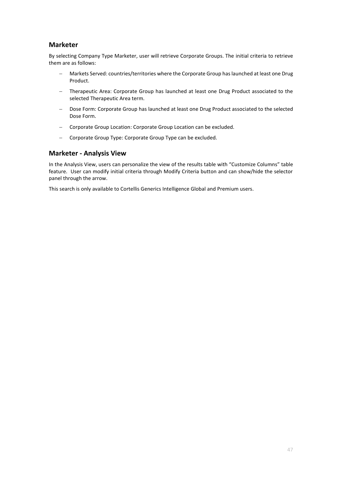## **Marketer**

By selecting Company Type Marketer, user will retrieve Corporate Groups. The initial criteria to retrieve them are as follows:

- − Markets Served: countries/territories where the Corporate Group has launched at least one Drug Product.
- − Therapeutic Area: Corporate Group has launched at least one Drug Product associated to the selected Therapeutic Area term.
- − Dose Form: Corporate Group has launched at least one Drug Product associated to the selected Dose Form.
- − Corporate Group Location: Corporate Group Location can be excluded.
- − Corporate Group Type: Corporate Group Type can be excluded.

## **Marketer - Analysis View**

In the Analysis View, users can personalize the view of the results table with "Customize Columns" table feature. User can modify initial criteria through Modify Criteria button and can show/hide the selector panel through the arrow.

This search is only available to Cortellis Generics Intelligence Global and Premium users.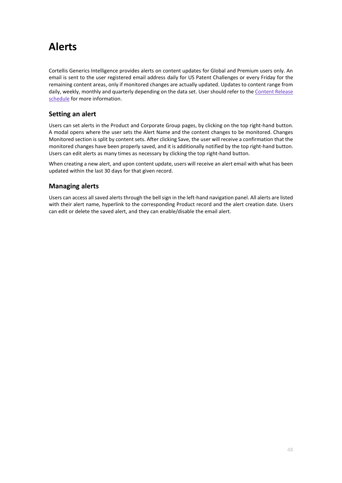## <span id="page-48-0"></span>**Alerts**

Cortellis Generics Intelligence provides alerts on content updates for Global and Premium users only. An email is sent to the user registered email address daily for US Patent Challenges or every Friday for the remaining content areas, only if monitored changes are actually updated. Updates to content range from daily, weekly, monthly and quarterly depending on the data set. User should refer to the [Content Release](https://clarivate.com/cortellis/learning/cortellis-generics-intelligence-training1991/cortellis-generics-intelligence-release-information/)  [schedule](https://clarivate.com/cortellis/learning/cortellis-generics-intelligence-training1991/cortellis-generics-intelligence-release-information/) for more information.

## **Setting an alert**

Users can set alerts in the Product and Corporate Group pages, by clicking on the top right-hand button. A modal opens where the user sets the Alert Name and the content changes to be monitored. Changes Monitored section is split by content sets. After clicking Save, the user will receive a confirmation that the monitored changes have been properly saved, and it is additionally notified by the top right-hand button. Users can edit alerts as many times as necessary by clicking the top right-hand button.

When creating a new alert, and upon content update, users will receive an alert email with what has been updated within the last 30 days for that given record.

## **Managing alerts**

Users can access all saved alerts through the bell sign in the left-hand navigation panel. All alerts are listed with their alert name, hyperlink to the corresponding Product record and the alert creation date. Users can edit or delete the saved alert, and they can enable/disable the email alert.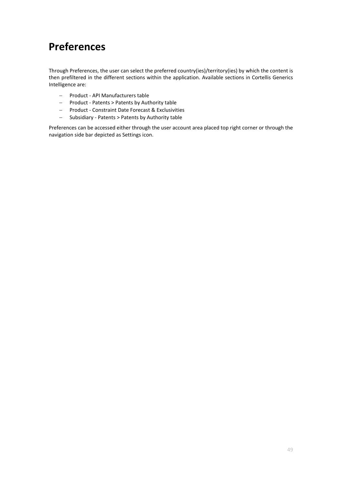## <span id="page-49-0"></span>**Preferences**

Through Preferences, the user can select the preferred country(ies)/territory(ies) by which the content is then prefiltered in the different sections within the application. Available sections in Cortellis Generics Intelligence are:

- − Product API Manufacturers table
- − Product Patents > Patents by Authority table
- − Product Constraint Date Forecast & Exclusivities
- − Subsidiary Patents > Patents by Authority table

Preferences can be accessed either through the user account area placed top right corner or through the navigation side bar depicted as Settings icon.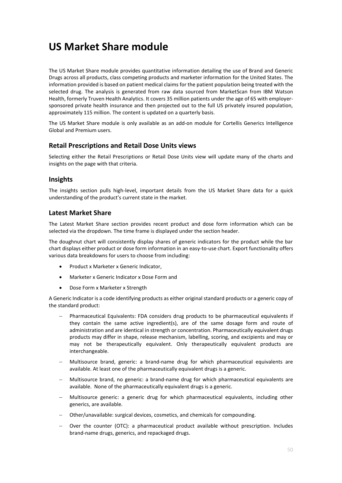## <span id="page-50-0"></span>**US Market Share module**

The US Market Share module provides quantitative information detailing the use of Brand and Generic Drugs across all products, class competing products and marketer information for the United States. The information provided is based on patient medical claims for the patient population being treated with the selected drug. The analysis is generated from raw data sourced from MarketScan from IBM Watson Health, formerly Truven Health Analytics. It covers 35 million patients under the age of 65 with employersponsored private health insurance and then projected out to the full US privately insured population, approximately 115 million. The content is updated on a quarterly basis.

The US Market Share module is only available as an add-on module for Cortellis Generics Intelligence Global and Premium users.

### **Retail Prescriptions and Retail Dose Units views**

Selecting either the Retail Prescriptions or Retail Dose Units view will update many of the charts and insights on the page with that criteria.

### **Insights**

The insights section pulls high-level, important details from the US Market Share data for a quick understanding of the product's current state in the market.

### **Latest Market Share**

The Latest Market Share section provides recent product and dose form information which can be selected via the dropdown. The time frame is displayed under the section header.

The doughnut chart will consistently display shares of generic indicators for the product while the bar chart displays either product or dose form information in an easy-to-use chart. Export functionality offers various data breakdowns for users to choose from including:

- Product x Marketer x Generic Indicator,
- Marketer x Generic Indicator x Dose Form and
- Dose Form x Marketer x Strength

A Generic Indicator is a code identifying products as either original standard products or a generic copy of the standard product:

- Pharmaceutical Equivalents: FDA considers drug products to be pharmaceutical equivalents if they contain the same active ingredient(s), are of the same dosage form and route of administration and are identical in strength or concentration. Pharmaceutically equivalent drugs products may differ in shape, release mechanism, labelling, scoring, and excipients and may or may not be therapeutically equivalent. Only therapeutically equivalent products are interchangeable.
- − Multisource brand, generic: a brand-name drug for which pharmaceutical equivalents are available. At least one of the pharmaceutically equivalent drugs is a generic.
- − Multisource brand, no generic: a brand-name drug for which pharmaceutical equivalents are available. None of the pharmaceutically equivalent drugs is a generic.
- − Multisource generic: a generic drug for which pharmaceutical equivalents, including other generics, are available.
- − Other/unavailable: surgical devices, cosmetics, and chemicals for compounding.
- − Over the counter (OTC): a pharmaceutical product available without prescription. Includes brand-name drugs, generics, and repackaged drugs.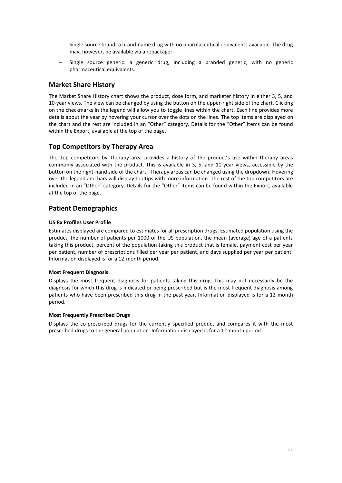- Single source brand: a brand-name drug with no pharmaceutical equivalents available. The drug may, however, be available via a repackager.
- − Single source generic: a generic drug, including a branded generic, with no generic pharmaceutical equivalents.

## **Market Share History**

The Market Share History chart shows the product, dose form, and marketer history in either 3, 5, and 10-year views. The view can be changed by using the button on the upper-right side of the chart. Clicking on the checkmarks in the legend will allow you to toggle lines within the chart. Each line provides more details about the year by hovering your cursor over the dots on the lines. The top items are displayed on the chart and the rest are included in an "Other" category. Details for the "Other" items can be found within the Export, available at the top of the page.

## **Top Competitors by Therapy Area**

The Top competitors by Therapy area provides a history of the product's use within therapy areas commonly associated with the product. This is available in 3, 5, and 10-year views, accessible by the button on the right-hand side of the chart. Therapy areas can be changed using the dropdown. Hovering over the legend and bars will display tooltips with more information. The rest of the top competitors are included in an "Other" category. Details for the "Other" items can be found within the Export, available at the top of the page.

## **Patient Demographics**

#### **US Rx Profiles User Profile**

Estimates displayed are compared to estimates for all prescription drugs. Estimated population using the product, the number of patients per 1000 of the US population, the mean (average) age of a patients taking this product, percent of the population taking this product that is female, payment cost per year per patient, number of prescriptions filled per year per patient, and days supplied per year per patient. Information displayed is for a 12-month period.

#### **Most Frequent Diagnosis**

Displays the most frequent diagnosis for patients taking this drug. This may not necessarily be the diagnosis for which this drug is indicated or being prescribed but is the most frequent diagnosis among patients who have been prescribed this drug in the past year. Information displayed is for a 12-month period.

#### **Most Frequently Prescribed Drugs**

Displays the co-prescribed drugs for the currently specified product and compares it with the most prescribed drugs to the general population. Information displayed is for a 12-month period.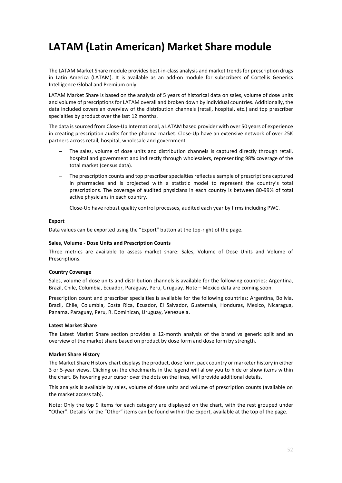## <span id="page-52-0"></span>**LATAM (Latin American) Market Share module**

The LATAM Market Share module provides best-in-class analysis and market trends for prescription drugs in Latin America (LATAM). It is available as an add-on module for subscribers of Cortellis Generics Intelligence Global and Premium only.

LATAM Market Share is based on the analysis of 5 years of historical data on sales, volume of dose units and volume of prescriptions for LATAM overall and broken down by individual countries. Additionally, the data included covers an overview of the distribution channels (retail, hospital, etc.) and top prescriber specialties by product over the last 12 months.

The data issourced from Close-Up International, a LATAM based provider with over 50 years of experience in creating prescription audits for the pharma market. Close-Up have an extensive network of over 25K partners across retail, hospital, wholesale and government.

- The sales, volume of dose units and distribution channels is captured directly through retail, hospital and government and indirectly through wholesalers, representing 98% coverage of the total market (census data).
- The prescription counts and top prescriber specialties reflects a sample of prescriptions captured in pharmacies and is projected with a statistic model to represent the country's total prescriptions. The coverage of audited physicians in each country is between 80-99% of total active physicians in each country.
- − Close-Up have robust quality control processes, audited each year by firms including PWC.

#### **Export**

Data values can be exported using the "Export" button at the top-right of the page.

#### **Sales, Volume - Dose Units and Prescription Counts**

Three metrics are available to assess market share: Sales, Volume of Dose Units and Volume of Prescriptions.

#### **Country Coverage**

Sales, volume of dose units and distribution channels is available for the following countries: Argentina, Brazil, Chile, Columbia, Ecuador, Paraguay, Peru, Uruguay. Note – Mexico data are coming soon.

Prescription count and prescriber specialties is available for the following countries: Argentina, Bolivia, Brazil, Chile, Columbia, Costa Rica, Ecuador, El Salvador, Guatemala, Honduras, Mexico, Nicaragua, Panama, Paraguay, Peru, R. Dominican, Uruguay, Venezuela.

#### **Latest Market Share**

The Latest Market Share section provides a 12-month analysis of the brand vs generic split and an overview of the market share based on product by dose form and dose form by strength.

#### **Market Share History**

The Market Share History chart displaysthe product, dose form, pack country or marketer history in either 3 or 5-year views. Clicking on the checkmarks in the legend will allow you to hide or show items within the chart. By hovering your cursor over the dots on the lines, will provide additional details.

This analysis is available by sales, volume of dose units and volume of prescription counts (available on the market access tab).

Note: Only the top 9 items for each category are displayed on the chart, with the rest grouped under "Other". Details for the "Other" items can be found within the Export, available at the top of the page.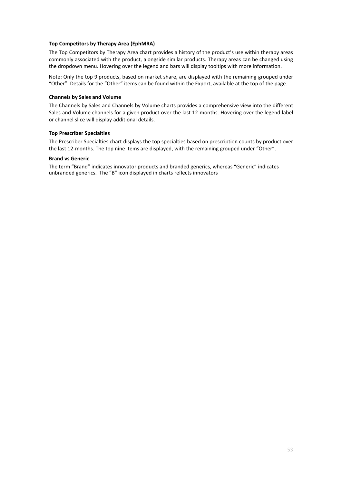#### **Top Competitors by Therapy Area (EphMRA)**

The Top Competitors by Therapy Area chart provides a history of the product's use within therapy areas commonly associated with the product, alongside similar products. Therapy areas can be changed using the dropdown menu. Hovering over the legend and bars will display tooltips with more information.

Note: Only the top 9 products, based on market share, are displayed with the remaining grouped under "Other". Details for the "Other" items can be found within the Export, available at the top of the page.

#### **Channels by Sales and Volume**

The Channels by Sales and Channels by Volume charts provides a comprehensive view into the different Sales and Volume channels for a given product over the last 12-months. Hovering over the legend label or channel slice will display additional details.

#### **Top Prescriber Specialties**

The Prescriber Specialties chart displays the top specialties based on prescription counts by product over the last 12-months. The top nine items are displayed, with the remaining grouped under "Other".

#### **Brand vs Generic**

The term "Brand" indicates innovator products and branded generics, whereas "Generic" indicates unbranded generics. The "B" icon displayed in charts reflects innovators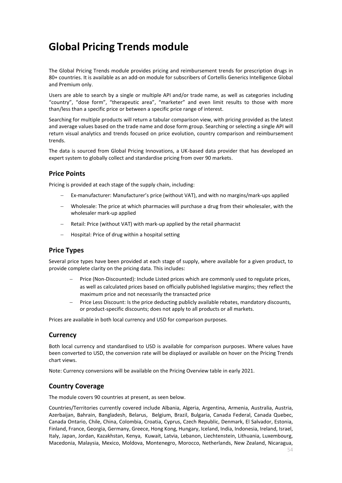## <span id="page-54-0"></span>**Global Pricing Trends module**

The Global Pricing Trends module provides pricing and reimbursement trends for prescription drugs in 80+ countries. It is available as an add-on module for subscribers of Cortellis Generics Intelligence Global and Premium only.

Users are able to search by a single or multiple API and/or trade name, as well as categories including "country", "dose form", "therapeutic area", "marketer" and even limit results to those with more than/less than a specific price or between a specific price range of interest.

Searching for multiple products will return a tabular comparison view, with pricing provided as the latest and average values based on the trade name and dose form group. Searching or selecting a single API will return visual analytics and trends focused on price evolution, country comparison and reimbursement trends.

The data is sourced from Global Pricing Innovations, a UK-based data provider that has developed an expert system to globally collect and standardise pricing from over 90 markets.

## **Price Points**

Pricing is provided at each stage of the supply chain, including:

- − Ex-manufacturer: Manufacturer's price (without VAT), and with no margins/mark-ups applied
- − Wholesale: The price at which pharmacies will purchase a drug from their wholesaler, with the wholesaler mark-up applied
- − Retail: Price (without VAT) with mark-up applied by the retail pharmacist
- − Hospital: Price of drug within a hospital setting

## **Price Types**

Several price types have been provided at each stage of supply, where available for a given product, to provide complete clarity on the pricing data. This includes:

- Price (Non-Discounted): Include Listed prices which are commonly used to regulate prices, as well as calculated prices based on officially published legislative margins; they reflect the maximum price and not necessarily the transacted price
- Price Less Discount: Is the price deducting publicly available rebates, mandatory discounts, or product-specific discounts; does not apply to all products or all markets.

Prices are available in both local currency and USD for comparison purposes.

## **Currency**

Both local currency and standardised to USD is available for comparison purposes. Where values have been converted to USD, the conversion rate will be displayed or available on hover on the Pricing Trends chart views.

Note: Currency conversions will be available on the Pricing Overview table in early 2021.

## **Country Coverage**

The module covers 90 countries at present, as seen below.

Countries/Territories currently covered include Albania, Algeria, Argentina, Armenia, Australia, Austria, Azerbaijan, Bahrain, Bangladesh, Belarus, Belgium, Brazil, Bulgaria, Canada Federal, Canada Quebec, Canada Ontario, Chile, China, Colombia, Croatia, Cyprus, Czech Republic, Denmark, El Salvador, Estonia, Finland, France, Georgia, Germany, Greece, Hong Kong, Hungary, Iceland, India, Indonesia, Ireland, Israel, Italy, Japan, Jordan, Kazakhstan, Kenya, Kuwait, Latvia, Lebanon, Liechtenstein, Lithuania, Luxembourg, Macedonia, Malaysia, Mexico, Moldova, Montenegro, Morocco, Netherlands, New Zealand, Nicaragua,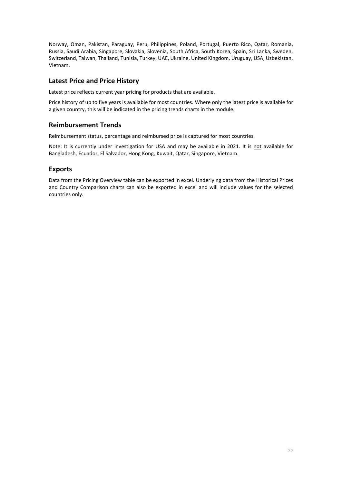Norway, Oman, Pakistan, Paraguay, Peru, Philippines, Poland, Portugal, Puerto Rico, Qatar, Romania, Russia, Saudi Arabia, Singapore, Slovakia, Slovenia, South Africa, South Korea, Spain, Sri Lanka, Sweden, Switzerland, Taiwan, Thailand, Tunisia, Turkey, UAE, Ukraine, United Kingdom, Uruguay, USA, Uzbekistan, Vietnam.

## **Latest Price and Price History**

Latest price reflects current year pricing for products that are available.

Price history of up to five years is available for most countries. Where only the latest price is available for a given country, this will be indicated in the pricing trends charts in the module.

## **Reimbursement Trends**

Reimbursement status, percentage and reimbursed price is captured for most countries.

Note: It is currently under investigation for USA and may be available in 2021. It is not available for Bangladesh, Ecuador, El Salvador, Hong Kong, Kuwait, Qatar, Singapore, Vietnam.

### **Exports**

Data from the Pricing Overview table can be exported in excel. Underlying data from the Historical Prices and Country Comparison charts can also be exported in excel and will include values for the selected countries only.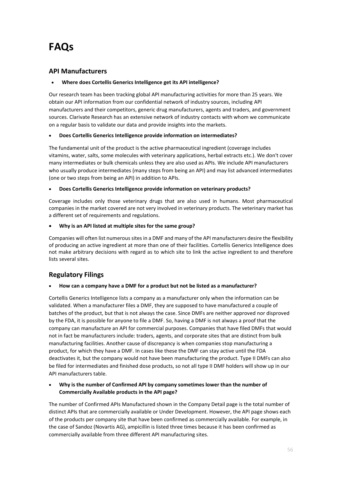## <span id="page-56-0"></span>**FAQs**

## **API Manufacturers**

#### • **Where does Cortellis Generics Intelligence get its API intelligence?**

Our research team has been tracking global API manufacturing activities for more than 25 years. We obtain our API information from our confidential network of industry sources, including API manufacturers and their competitors, generic drug manufacturers, agents and traders, and government sources. Clarivate Research has an extensive network of industry contacts with whom we communicate on a regular basis to validate our data and provide insights into the markets.

#### • **Does Cortellis Generics Intelligence provide information on intermediates?**

The fundamental unit of the product is the active pharmaceutical ingredient (coverage includes vitamins, water, salts, some molecules with veterinary applications, herbal extracts etc.). We don't cover many intermediates or bulk chemicals unless they are also used as APIs. We include API manufacturers who usually produce intermediates (many steps from being an API) and may list advanced intermediates (one or two steps from being an API) in addition to APIs.

#### • **Does Cortellis Generics Intelligence provide information on veterinary products?**

Coverage includes only those veterinary drugs that are also used in humans. Most pharmaceutical companies in the market covered are not very involved in veterinary products. The veterinary market has a different set of requirements and regulations.

#### • **Why is an API listed at multiple sites for the same group?**

Companies will often list numerous sites in a DMF and many of the API manufacturers desire the flexibility of producing an active ingredient at more than one of their facilities. Cortellis Generics Intelligence does not make arbitrary decisions with regard as to which site to link the active ingredient to and therefore lists several sites.

## **Regulatory Filings**

#### • **How can a company have a DMF for a product but not be listed as a manufacturer?**

Cortellis Generics Intelligence lists a company as a manufacturer only when the information can be validated. When a manufacturer files a DMF, they are supposed to have manufactured a couple of batches of the product, but that is not always the case. Since DMFs are neither approved nor disproved by the FDA, it is possible for anyone to file a DMF. So, having a DMF is not always a proof that the company can manufacture an API for commercial purposes. Companies that have filed DMFs that would not in fact be manufacturers include: traders, agents, and corporate sites that are distinct from bulk manufacturing facilities. Another cause of discrepancy is when companies stop manufacturing a product, for which they have a DMF. In cases like these the DMF can stay active until the FDA deactivates it, but the company would not have been manufacturing the product. Type II DMFs can also be filed for intermediates and finished dose products, so not all type II DMF holders will show up in our API manufacturers table.

#### • **Why is the number of Confirmed API by company sometimes lower than the number of Commercially Available products in the API page?**

The number of Confirmed APIs Manufactured shown in the Company Detail page is the total number of distinct APIs that are commercially available or Under Development. However, the API page shows each of the products per company site that have been confirmed as commercially available. For example, in the case of Sandoz (Novartis AG), ampicillin is listed three times because it has been confirmed as commercially available from three different API manufacturing sites.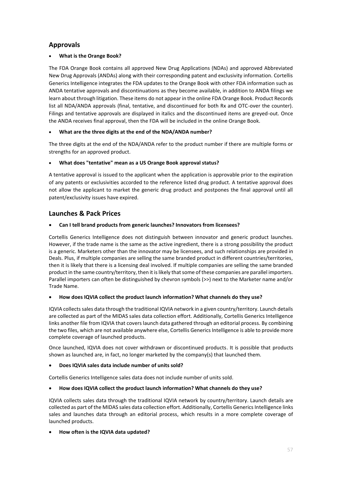## **Approvals**

#### • **What is the Orange Book?**

The FDA Orange Book contains all approved New Drug Applications (NDAs) and approved Abbreviated New Drug Approvals (ANDAs) along with their corresponding patent and exclusivity information. Cortellis Generics Intelligence integrates the FDA updates to the Orange Book with other FDA information such as ANDA tentative approvals and discontinuations as they become available, in addition to ANDA filings we learn about through litigation. These items do not appear in the online FDA Orange Book. Product Records list all NDA/ANDA approvals (final, tentative, and discontinued for both Rx and OTC-over the counter). Filings and tentative approvals are displayed in italics and the discontinued items are greyed-out. Once the ANDA receives final approval, then the FDA will be included in the online Orange Book.

#### • **What are the three digits at the end of the NDA/ANDA number?**

The three digits at the end of the NDA/ANDA refer to the product number if there are multiple forms or strengths for an approved product.

#### • **What does "tentative" mean as a US Orange Book approval status?**

A tentative approval is issued to the applicant when the application is approvable prior to the expiration of any patents or exclusivities accorded to the reference listed drug product. A tentative approval does not allow the applicant to market the generic drug product and postpones the final approval until all patent/exclusivity issues have expired.

## **Launches & Pack Prices**

#### • **Can I tell brand products from generic launches? Innovators from licensees?**

Cortellis Generics Intelligence does not distinguish between innovator and generic product launches. However, if the trade name is the same as the active ingredient, there is a strong possibility the product is a generic. Marketers other than the innovator may be licensees, and such relationships are provided in Deals. Plus, if multiple companies are selling the same branded product in different countries/territories, then it is likely that there is a licensing deal involved. If multiple companies are selling the same branded product in the same country/territory, then it is likely that some of these companies are parallel importers. Parallel importers can often be distinguished by chevron symbols (>>) next to the Marketer name and/or Trade Name.

#### • **How does IQVIA collect the product launch information? What channels do they use?**

IQVIA collects sales data through the traditional IQVIA network in a given country/territory. Launch details are collected as part of the MIDAS sales data collection effort. Additionally, Cortellis Generics Intelligence links another file from IQVIA that covers launch data gathered through an editorial process. By combining the two files, which are not available anywhere else, Cortellis Generics Intelligence is able to provide more complete coverage of launched products.

Once launched, IQVIA does not cover withdrawn or discontinued products. It is possible that products shown as launched are, in fact, no longer marketed by the company(s) that launched them.

#### • **Does IQVIA sales data include number of units sold?**

Cortellis Generics Intelligence sales data does not include number of units sold.

#### • **How does IQVIA collect the product launch information? What channels do they use?**

IQVIA collects sales data through the traditional IQVIA network by country/territory. Launch details are collected as part of the MIDAS sales data collection effort. Additionally, Cortellis Generics Intelligence links sales and launches data through an editorial process, which results in a more complete coverage of launched products.

#### • **How often is the IQVIA data updated?**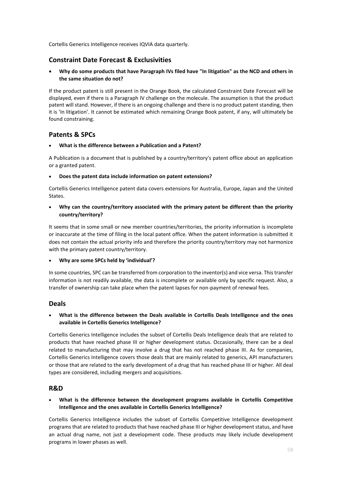Cortellis Generics Intelligence receives IQVIA data quarterly.

### **Constraint Date Forecast & Exclusivities**

• **Why do some products that have Paragraph IVs filed have "In litigation" as the NCD and others in the same situation do not?**

If the product patent is still present in the Orange Book, the calculated Constraint Date Forecast will be displayed, even if there is a Paragraph IV challenge on the molecule. The assumption is that the product patent will stand. However, if there is an ongoing challenge and there is no product patent standing, then it is 'In litigation'. It cannot be estimated which remaining Orange Book patent, if any, will ultimately be found constraining.

## **Patents & SPCs**

• **What is the difference between a Publication and a Patent?**

A Publication is a document that is published by a country/territory's patent office about an application or a granted patent.

• **Does the patent data include information on patent extensions?**

Cortellis Generics Intelligence patent data covers extensions for Australia, Europe, Japan and the United States.

• **Why can the country/territory associated with the primary patent be different than the priority country/territory?**

It seems that in some small or new member countries/territories, the priority information is incomplete or inaccurate at the time of filing in the local patent office. When the patent information is submitted it does not contain the actual priority info and therefore the priority country/territory may not harmonize with the primary patent country/territory.

• **Why are some SPCs held by 'individual'?**

In some countries, SPC can be transferred from corporation to the inventor(s) and vice versa. This transfer information is not readily available, the data is incomplete or available only by specific request. Also, a transfer of ownership can take place when the patent lapses for non-payment of renewal fees.

### **Deals**

• **What is the difference between the Deals available in Cortellis Deals Intelligence and the ones available in Cortellis Generics Intelligence?**

Cortellis Generics Intelligence includes the subset of Cortellis Deals Intelligence deals that are related to products that have reached phase III or higher development status. Occasionally, there can be a deal related to manufacturing that may involve a drug that has not reached phase III. As for companies, Cortellis Generics Intelligence covers those deals that are mainly related to generics, API manufacturers or those that are related to the early development of a drug that has reached phase III or higher. All deal types are considered, including mergers and acquisitions.

### **R&D**

• **What is the difference between the development programs available in Cortellis Competitive Intelligence and the ones available in Cortellis Generics Intelligence?**

Cortellis Generics Intelligence includes the subset of Cortellis Competitive Intelligence development programs that are related to products that have reached phase III or higher development status, and have an actual drug name, not just a development code. These products may likely include development programs in lower phases as well.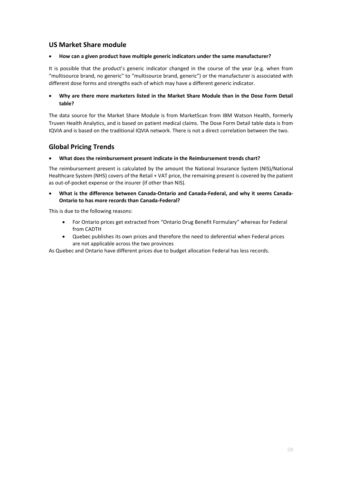## **US Market Share module**

#### • **How can a given product have multiple generic indicators under the same manufacturer?**

It is possible that the product's generic indicator changed in the course of the year (e.g. when from "multisource brand, no generic" to "multisource brand, generic") or the manufacturer is associated with different dose forms and strengths each of which may have a different generic indicator.

#### • **Why are there more marketers listed in the Market Share Module than in the Dose Form Detail table?**

The data source for the Market Share Module is from MarketScan from IBM Watson Health, formerly Truven Health Analytics, and is based on patient medical claims. The Dose Form Detail table data is from IQVIA and is based on the traditional IQVIA network. There is not a direct correlation between the two.

## **Global Pricing Trends**

• **What does the reimbursement present indicate in the Reimbursement trends chart?**

The reimbursement present is calculated by the amount the National Insurance System (NIS)/National Healthcare System (NHS) covers of the Retail + VAT price, the remaining present is covered by the patient as out-of-pocket expense or the insurer (if other than NIS).

• **What is the difference between Canada-Ontario and Canada-Federal, and why it seems Canada-Ontario to has more records than Canada-Federal?**

This is due to the following reasons:

- For Ontario prices get extracted from "Ontario Drug Benefit Formulary" whereas for Federal from CADTH
- Quebec publishes its own prices and therefore the need to deferential when Federal prices are not applicable across the two provinces

As Quebec and Ontario have different prices due to budget allocation Federal has less records.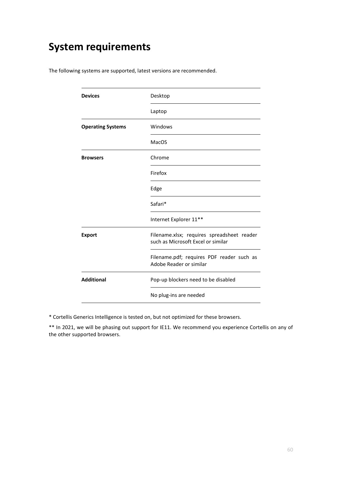## <span id="page-60-0"></span>**System requirements**

| <b>Devices</b>           | Desktop                                                                          |
|--------------------------|----------------------------------------------------------------------------------|
|                          | Laptop                                                                           |
| <b>Operating Systems</b> | Windows                                                                          |
|                          | <b>MacOS</b>                                                                     |
| <b>Browsers</b>          | Chrome                                                                           |
|                          | Firefox                                                                          |
|                          | Edge                                                                             |
|                          | Safari*                                                                          |
|                          | Internet Explorer 11**                                                           |
| <b>Export</b>            | Filename.xlsx; requires spreadsheet reader<br>such as Microsoft Excel or similar |
|                          | Filename.pdf; requires PDF reader such as<br>Adobe Reader or similar             |
| <b>Additional</b>        | Pop-up blockers need to be disabled                                              |
|                          | No plug-ins are needed                                                           |

The following systems are supported, latest versions are recommended.

\* Cortellis Generics Intelligence is tested on, but not optimized for these browsers.

\*\* In 2021, we will be phasing out support for IE11. We recommend you experience Cortellis on any of the other supported browsers.